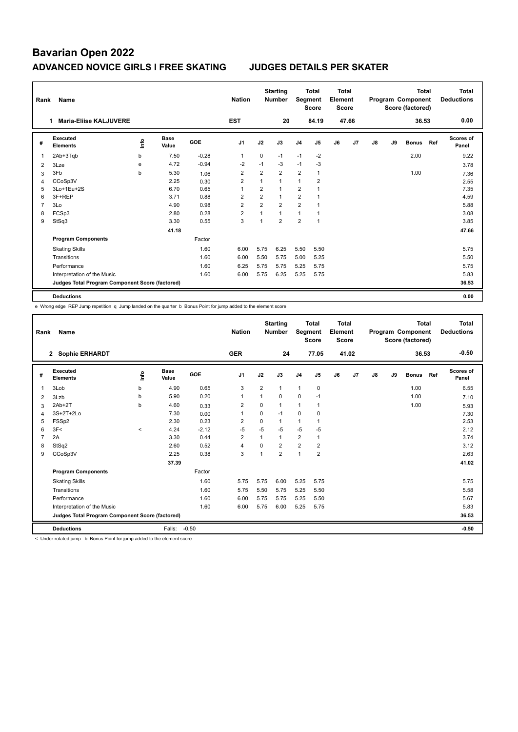| Rank | Name                                            |      |                      |            | <b>Nation</b>  |                | <b>Starting</b><br><b>Number</b> | Segment        | <b>Total</b><br><b>Score</b> | Total<br>Element<br><b>Score</b> |                |    |    | <b>Total</b><br>Program Component<br>Score (factored) |     | Total<br><b>Deductions</b> |
|------|-------------------------------------------------|------|----------------------|------------|----------------|----------------|----------------------------------|----------------|------------------------------|----------------------------------|----------------|----|----|-------------------------------------------------------|-----|----------------------------|
|      | <b>Maria-Eliise KALJUVERE</b>                   |      |                      |            | <b>EST</b>     |                | 20                               |                | 84.19                        |                                  | 47.66          |    |    | 36.53                                                 |     | 0.00                       |
| #    | <b>Executed</b><br><b>Elements</b>              | ١nfo | <b>Base</b><br>Value | <b>GOE</b> | J <sub>1</sub> | J2             | J3                               | J <sub>4</sub> | J <sub>5</sub>               | J6                               | J <sub>7</sub> | J8 | J9 | <b>Bonus</b>                                          | Ref | <b>Scores of</b><br>Panel  |
| 1    | 2Ab+3Tqb                                        | b    | 7.50                 | $-0.28$    | $\overline{1}$ | $\mathbf 0$    | $-1$                             | $-1$           | $-2$                         |                                  |                |    |    | 2.00                                                  |     | 9.22                       |
| 2    | 3Lze                                            | e    | 4.72                 | $-0.94$    | $-2$           | $-1$           | $-3$                             | $-1$           | $-3$                         |                                  |                |    |    |                                                       |     | 3.78                       |
| 3    | 3Fb                                             | b    | 5.30                 | 1.06       | $\overline{2}$ | $\overline{2}$ | $\overline{2}$                   | $\overline{2}$ | $\mathbf{1}$                 |                                  |                |    |    | 1.00                                                  |     | 7.36                       |
| 4    | CCoSp3V                                         |      | 2.25                 | 0.30       | $\overline{2}$ | $\mathbf{1}$   | $\mathbf{1}$                     | 1              | $\overline{2}$               |                                  |                |    |    |                                                       |     | 2.55                       |
| 5    | 3Lo+1Eu+2S                                      |      | 6.70                 | 0.65       | $\overline{1}$ | $\overline{2}$ | 1                                | $\overline{2}$ |                              |                                  |                |    |    |                                                       |     | 7.35                       |
| 6    | 3F+REP                                          |      | 3.71                 | 0.88       | $\overline{2}$ | $\overline{2}$ | $\mathbf{1}$                     | $\overline{2}$ |                              |                                  |                |    |    |                                                       |     | 4.59                       |
| 7    | 3Lo                                             |      | 4.90                 | 0.98       | $\overline{2}$ | $\overline{2}$ | $\overline{2}$                   | $\overline{2}$ |                              |                                  |                |    |    |                                                       |     | 5.88                       |
| 8    | FCSp3                                           |      | 2.80                 | 0.28       | $\overline{2}$ | 1              | $\mathbf{1}$                     | 1              |                              |                                  |                |    |    |                                                       |     | 3.08                       |
| 9    | StSq3                                           |      | 3.30                 | 0.55       | 3              | 1              | $\overline{2}$                   | $\overline{2}$ | $\mathbf{1}$                 |                                  |                |    |    |                                                       |     | 3.85                       |
|      |                                                 |      | 41.18                |            |                |                |                                  |                |                              |                                  |                |    |    |                                                       |     | 47.66                      |
|      | <b>Program Components</b>                       |      |                      | Factor     |                |                |                                  |                |                              |                                  |                |    |    |                                                       |     |                            |
|      | <b>Skating Skills</b>                           |      |                      | 1.60       | 6.00           | 5.75           | 6.25                             | 5.50           | 5.50                         |                                  |                |    |    |                                                       |     | 5.75                       |
|      | Transitions                                     |      |                      | 1.60       | 6.00           | 5.50           | 5.75                             | 5.00           | 5.25                         |                                  |                |    |    |                                                       |     | 5.50                       |
|      | Performance                                     |      |                      | 1.60       | 6.25           | 5.75           | 5.75                             | 5.25           | 5.75                         |                                  |                |    |    |                                                       |     | 5.75                       |
|      | Interpretation of the Music                     |      |                      | 1.60       | 6.00           | 5.75           | 6.25                             | 5.25           | 5.75                         |                                  |                |    |    |                                                       |     | 5.83                       |
|      | Judges Total Program Component Score (factored) |      |                      |            |                |                |                                  |                |                              |                                  |                |    |    |                                                       |     | 36.53                      |
|      | <b>Deductions</b>                               |      |                      |            |                |                |                                  |                |                              |                                  |                |    |    |                                                       |     | 0.00                       |

e Wrong edge REP Jump repetition q Jump landed on the quarter b Bonus Point for jump added to the element score

| Rank | Name                                            |         |                      |         | <b>Nation</b>  |                | <b>Starting</b><br><b>Number</b> | Segment        | <b>Total</b><br><b>Score</b> | Total<br>Element<br><b>Score</b> |       |    |    | <b>Total</b><br>Program Component<br>Score (factored) |     | <b>Total</b><br><b>Deductions</b> |
|------|-------------------------------------------------|---------|----------------------|---------|----------------|----------------|----------------------------------|----------------|------------------------------|----------------------------------|-------|----|----|-------------------------------------------------------|-----|-----------------------------------|
|      | <b>Sophie ERHARDT</b><br>$\mathbf{2}$           |         |                      |         | <b>GER</b>     |                | 24                               |                | 77.05                        |                                  | 41.02 |    |    | 36.53                                                 |     | $-0.50$                           |
| #    | Executed<br><b>Elements</b>                     | ١nf٥    | <b>Base</b><br>Value | GOE     | J <sub>1</sub> | J2             | J3                               | J <sub>4</sub> | J <sub>5</sub>               | J6                               | J7    | J8 | J9 | <b>Bonus</b>                                          | Ref | Scores of<br>Panel                |
| 1    | 3Lob                                            | b       | 4.90                 | 0.65    | 3              | $\overline{2}$ | 1                                | $\mathbf{1}$   | $\mathbf 0$                  |                                  |       |    |    | 1.00                                                  |     | 6.55                              |
| 2    | 3Lzb                                            | b       | 5.90                 | 0.20    | 1              | 1              | $\Omega$                         | $\mathbf 0$    | $-1$                         |                                  |       |    |    | 1.00                                                  |     | 7.10                              |
| 3    | $2Ab+2T$                                        | b       | 4.60                 | 0.33    | 2              | 0              | 1                                | 1              | 1                            |                                  |       |    |    | 1.00                                                  |     | 5.93                              |
| 4    | 3S+2T+2Lo                                       |         | 7.30                 | 0.00    | 1              | $\Omega$       | $-1$                             | $\mathbf 0$    | $\Omega$                     |                                  |       |    |    |                                                       |     | 7.30                              |
| 5    | FSSp2                                           |         | 2.30                 | 0.23    | 2              | $\Omega$       | $\mathbf{1}$                     | $\mathbf{1}$   | 1                            |                                  |       |    |    |                                                       |     | 2.53                              |
| 6    | 3F<                                             | $\prec$ | 4.24                 | $-2.12$ | $-5$           | $-5$           | $-5$                             | $-5$           | $-5$                         |                                  |       |    |    |                                                       |     | 2.12                              |
| 7    | 2A                                              |         | 3.30                 | 0.44    | $\overline{2}$ | 1              | 1                                | $\overline{2}$ | 1                            |                                  |       |    |    |                                                       |     | 3.74                              |
| 8    | StSq2                                           |         | 2.60                 | 0.52    | $\overline{4}$ | $\Omega$       | $\overline{2}$                   | $\overline{2}$ | $\overline{2}$               |                                  |       |    |    |                                                       |     | 3.12                              |
| 9    | CCoSp3V                                         |         | 2.25                 | 0.38    | 3              | 1              | $\overline{2}$                   | $\overline{1}$ | $\overline{2}$               |                                  |       |    |    |                                                       |     | 2.63                              |
|      |                                                 |         | 37.39                |         |                |                |                                  |                |                              |                                  |       |    |    |                                                       |     | 41.02                             |
|      | <b>Program Components</b>                       |         |                      | Factor  |                |                |                                  |                |                              |                                  |       |    |    |                                                       |     |                                   |
|      | <b>Skating Skills</b>                           |         |                      | 1.60    | 5.75           | 5.75           | 6.00                             | 5.25           | 5.75                         |                                  |       |    |    |                                                       |     | 5.75                              |
|      | Transitions                                     |         |                      | 1.60    | 5.75           | 5.50           | 5.75                             | 5.25           | 5.50                         |                                  |       |    |    |                                                       |     | 5.58                              |
|      | Performance                                     |         |                      | 1.60    | 6.00           | 5.75           | 5.75                             | 5.25           | 5.50                         |                                  |       |    |    |                                                       |     | 5.67                              |
|      | Interpretation of the Music                     |         |                      | 1.60    | 6.00           | 5.75           | 6.00                             | 5.25           | 5.75                         |                                  |       |    |    |                                                       |     | 5.83                              |
|      | Judges Total Program Component Score (factored) |         |                      |         |                |                |                                  |                |                              |                                  |       |    |    |                                                       |     | 36.53                             |
|      | <b>Deductions</b>                               |         | Falls:               | $-0.50$ |                |                |                                  |                |                              |                                  |       |    |    |                                                       |     | $-0.50$                           |

< Under-rotated jump b Bonus Point for jump added to the element score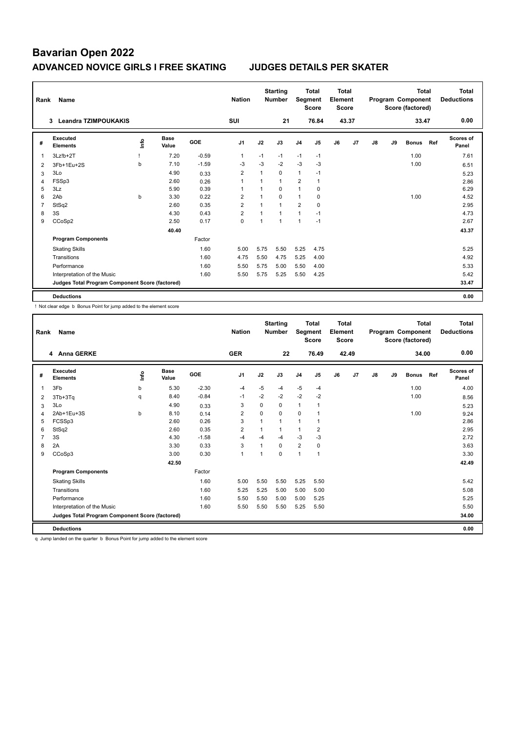| Rank           | Name                                            |      |               |         | <b>Nation</b>  |      | <b>Starting</b><br><b>Number</b> |                | <b>Total</b><br>Segment<br>Score | <b>Total</b><br>Element<br><b>Score</b> |       |               |    | <b>Total</b><br>Program Component<br>Score (factored) |     | Total<br><b>Deductions</b> |
|----------------|-------------------------------------------------|------|---------------|---------|----------------|------|----------------------------------|----------------|----------------------------------|-----------------------------------------|-------|---------------|----|-------------------------------------------------------|-----|----------------------------|
|                | <b>Leandra TZIMPOUKAKIS</b><br>3                |      |               |         | <b>SUI</b>     |      | 21                               |                | 76.84                            |                                         | 43.37 |               |    | 33.47                                                 |     | 0.00                       |
| #              | Executed<br><b>Elements</b>                     | ١nfo | Base<br>Value | GOE     | J <sub>1</sub> | J2   | J3                               | J <sub>4</sub> | J <sub>5</sub>                   | J6                                      | J7    | $\mathsf{J}8$ | J9 | <b>Bonus</b>                                          | Ref | Scores of<br>Panel         |
|                | 3Lz!b+2T                                        |      | 7.20          | $-0.59$ | 1              | $-1$ | $-1$                             | $-1$           | $-1$                             |                                         |       |               |    | 1.00                                                  |     | 7.61                       |
| $\overline{2}$ | 3Fb+1Eu+2S                                      | b    | 7.10          | $-1.59$ | $-3$           | $-3$ | $-2$                             | $-3$           | -3                               |                                         |       |               |    | 1.00                                                  |     | 6.51                       |
| 3              | 3Lo                                             |      | 4.90          | 0.33    | $\overline{2}$ | 1    | $\mathbf 0$                      | $\mathbf{1}$   | $-1$                             |                                         |       |               |    |                                                       |     | 5.23                       |
| 4              | FSSp3                                           |      | 2.60          | 0.26    | 1              | 1    | $\mathbf{1}$                     | $\overline{2}$ | $\mathbf{1}$                     |                                         |       |               |    |                                                       |     | 2.86                       |
| 5              | 3Lz                                             |      | 5.90          | 0.39    | 1              | 1    | 0                                | $\mathbf{1}$   | 0                                |                                         |       |               |    |                                                       |     | 6.29                       |
| 6              | 2Ab                                             | b    | 3.30          | 0.22    | $\overline{2}$ | 1    | $\mathbf 0$                      | $\mathbf{1}$   | 0                                |                                         |       |               |    | 1.00                                                  |     | 4.52                       |
| 7              | StSq2                                           |      | 2.60          | 0.35    | $\overline{2}$ |      | $\overline{1}$                   | $\overline{2}$ | $\mathbf 0$                      |                                         |       |               |    |                                                       |     | 2.95                       |
| 8              | 3S                                              |      | 4.30          | 0.43    | $\overline{2}$ | 1    | $\overline{1}$                   | $\mathbf{1}$   | $-1$                             |                                         |       |               |    |                                                       |     | 4.73                       |
| 9              | CCoSp2                                          |      | 2.50          | 0.17    | 0              | 1    | $\mathbf{1}$                     | 1              | $-1$                             |                                         |       |               |    |                                                       |     | 2.67                       |
|                |                                                 |      | 40.40         |         |                |      |                                  |                |                                  |                                         |       |               |    |                                                       |     | 43.37                      |
|                | <b>Program Components</b>                       |      |               | Factor  |                |      |                                  |                |                                  |                                         |       |               |    |                                                       |     |                            |
|                | <b>Skating Skills</b>                           |      |               | 1.60    | 5.00           | 5.75 | 5.50                             | 5.25           | 4.75                             |                                         |       |               |    |                                                       |     | 5.25                       |
|                | Transitions                                     |      |               | 1.60    | 4.75           | 5.50 | 4.75                             | 5.25           | 4.00                             |                                         |       |               |    |                                                       |     | 4.92                       |
|                | Performance                                     |      |               | 1.60    | 5.50           | 5.75 | 5.00                             | 5.50           | 4.00                             |                                         |       |               |    |                                                       |     | 5.33                       |
|                | Interpretation of the Music                     |      |               | 1.60    | 5.50           | 5.75 | 5.25                             | 5.50           | 4.25                             |                                         |       |               |    |                                                       |     | 5.42                       |
|                | Judges Total Program Component Score (factored) |      |               |         |                |      |                                  |                |                                  |                                         |       |               |    |                                                       |     | 33.47                      |
|                | <b>Deductions</b>                               |      |               |         |                |      |                                  |                |                                  |                                         |       |               |    |                                                       |     | 0.00                       |

! Not clear edge b Bonus Point for jump added to the element score

| Rank           | Name                                            |      |                      |         | <b>Nation</b>  |                | <b>Starting</b><br><b>Number</b> | Segment        | <b>Total</b><br><b>Score</b> | <b>Total</b><br>Element<br><b>Score</b> |       |    |    | <b>Total</b><br>Program Component<br>Score (factored) |     | <b>Total</b><br><b>Deductions</b> |
|----------------|-------------------------------------------------|------|----------------------|---------|----------------|----------------|----------------------------------|----------------|------------------------------|-----------------------------------------|-------|----|----|-------------------------------------------------------|-----|-----------------------------------|
|                | 4 Anna GERKE                                    |      |                      |         | <b>GER</b>     |                | 22                               |                | 76.49                        |                                         | 42.49 |    |    | 34.00                                                 |     | 0.00                              |
| #              | Executed<br><b>Elements</b>                     | ١nf٥ | <b>Base</b><br>Value | GOE     | J <sub>1</sub> | J2             | J3                               | J <sub>4</sub> | J5                           | J6                                      | J7    | J8 | J9 | <b>Bonus</b>                                          | Ref | <b>Scores of</b><br>Panel         |
| 1              | 3F <sub>b</sub>                                 | b    | 5.30                 | $-2.30$ | $-4$           | $-5$           | $-4$                             | $-5$           | $-4$                         |                                         |       |    |    | 1.00                                                  |     | 4.00                              |
| 2              | 3Tb+3Tq                                         | q    | 8.40                 | $-0.84$ | $-1$           | $-2$           | $-2$                             | $-2$           | $-2$                         |                                         |       |    |    | 1.00                                                  |     | 8.56                              |
| 3              | 3Lo                                             |      | 4.90                 | 0.33    | 3              | $\Omega$       | 0                                | $\mathbf{1}$   | 1                            |                                         |       |    |    |                                                       |     | 5.23                              |
| 4              | 2Ab+1Eu+3S                                      | b    | 8.10                 | 0.14    | $\overline{2}$ | 0              | 0                                | 0              | 1                            |                                         |       |    |    | 1.00                                                  |     | 9.24                              |
| 5              | FCSSp3                                          |      | 2.60                 | 0.26    | 3              | 1              | 1                                | $\mathbf{1}$   | 1                            |                                         |       |    |    |                                                       |     | 2.86                              |
| 6              | StSq2                                           |      | 2.60                 | 0.35    | $\overline{2}$ | 1              | 1                                | $\mathbf{1}$   | $\overline{2}$               |                                         |       |    |    |                                                       |     | 2.95                              |
| $\overline{7}$ | 3S                                              |      | 4.30                 | $-1.58$ | $-4$           | $-4$           | $-4$                             | $-3$           | $-3$                         |                                         |       |    |    |                                                       |     | 2.72                              |
| 8              | 2A                                              |      | 3.30                 | 0.33    | 3              | $\overline{ }$ | 0                                | $\overline{2}$ | 0                            |                                         |       |    |    |                                                       |     | 3.63                              |
| 9              | CCoSp3                                          |      | 3.00                 | 0.30    | $\mathbf{1}$   | 1              | 0                                | $\mathbf{1}$   | $\mathbf{1}$                 |                                         |       |    |    |                                                       |     | 3.30                              |
|                |                                                 |      | 42.50                |         |                |                |                                  |                |                              |                                         |       |    |    |                                                       |     | 42.49                             |
|                | <b>Program Components</b>                       |      |                      | Factor  |                |                |                                  |                |                              |                                         |       |    |    |                                                       |     |                                   |
|                | <b>Skating Skills</b>                           |      |                      | 1.60    | 5.00           | 5.50           | 5.50                             | 5.25           | 5.50                         |                                         |       |    |    |                                                       |     | 5.42                              |
|                | Transitions                                     |      |                      | 1.60    | 5.25           | 5.25           | 5.00                             | 5.00           | 5.00                         |                                         |       |    |    |                                                       |     | 5.08                              |
|                | Performance                                     |      |                      | 1.60    | 5.50           | 5.50           | 5.00                             | 5.00           | 5.25                         |                                         |       |    |    |                                                       |     | 5.25                              |
|                | Interpretation of the Music                     |      |                      | 1.60    | 5.50           | 5.50           | 5.50                             | 5.25           | 5.50                         |                                         |       |    |    |                                                       |     | 5.50                              |
|                | Judges Total Program Component Score (factored) |      |                      |         |                |                |                                  |                |                              |                                         |       |    |    |                                                       |     | 34.00                             |
|                | <b>Deductions</b>                               |      |                      |         |                |                |                                  |                |                              |                                         |       |    |    |                                                       |     | 0.00                              |

q Jump landed on the quarter b Bonus Point for jump added to the element score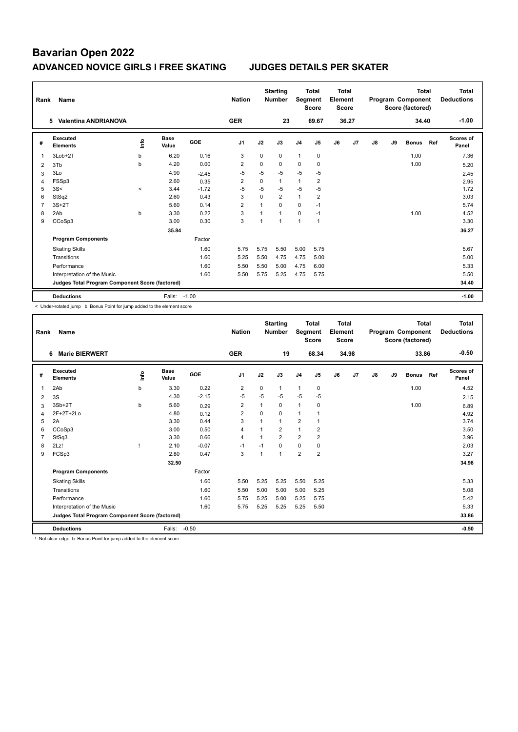| Rank | Name                                            |         |                      |         | <b>Nation</b>  |             | <b>Starting</b><br><b>Number</b> | Segment        | <b>Total</b><br><b>Score</b> | Total<br>Element<br><b>Score</b> |       |    |    | <b>Total</b><br>Program Component<br>Score (factored) |     | <b>Total</b><br><b>Deductions</b> |
|------|-------------------------------------------------|---------|----------------------|---------|----------------|-------------|----------------------------------|----------------|------------------------------|----------------------------------|-------|----|----|-------------------------------------------------------|-----|-----------------------------------|
|      | <b>Valentina ANDRIANOVA</b><br>5.               |         |                      |         | <b>GER</b>     |             | 23                               |                | 69.67                        |                                  | 36.27 |    |    | 34.40                                                 |     | $-1.00$                           |
| #    | Executed<br><b>Elements</b>                     | ۴ů      | <b>Base</b><br>Value | GOE     | J <sub>1</sub> | J2          | J3                               | J <sub>4</sub> | J5                           | J6                               | J7    | J8 | J9 | <b>Bonus</b>                                          | Ref | Scores of<br>Panel                |
| 1    | 3Lob+2T                                         | b       | 6.20                 | 0.16    | 3              | $\mathbf 0$ | 0                                | $\mathbf{1}$   | $\mathbf 0$                  |                                  |       |    |    | 1.00                                                  |     | 7.36                              |
| 2    | 3Tb                                             | b       | 4.20                 | 0.00    | $\overline{2}$ | $\mathbf 0$ | 0                                | 0              | $\mathbf 0$                  |                                  |       |    |    | 1.00                                                  |     | 5.20                              |
| 3    | 3Lo                                             |         | 4.90                 | $-2.45$ | $-5$           | $-5$        | $-5$                             | $-5$           | $-5$                         |                                  |       |    |    |                                                       |     | 2.45                              |
| 4    | FSSp3                                           |         | 2.60                 | 0.35    | $\overline{2}$ | 0           | $\mathbf{1}$                     | 1              | $\overline{2}$               |                                  |       |    |    |                                                       |     | 2.95                              |
| 5    | 3S<                                             | $\prec$ | 3.44                 | $-1.72$ | $-5$           | $-5$        | $-5$                             | $-5$           | $-5$                         |                                  |       |    |    |                                                       |     | 1.72                              |
| 6    | StSq2                                           |         | 2.60                 | 0.43    | 3              | $\Omega$    | $\overline{2}$                   | $\mathbf{1}$   | $\overline{2}$               |                                  |       |    |    |                                                       |     | 3.03                              |
| 7    | $3S+2T$                                         |         | 5.60                 | 0.14    | $\overline{2}$ |             | $\Omega$                         | 0              | $-1$                         |                                  |       |    |    |                                                       |     | 5.74                              |
| 8    | 2Ab                                             | b       | 3.30                 | 0.22    | 3              | 1           | $\mathbf{1}$                     | $\Omega$       | $-1$                         |                                  |       |    |    | 1.00                                                  |     | 4.52                              |
| 9    | CCoSp3                                          |         | 3.00                 | 0.30    | 3              |             | $\overline{1}$                   | $\mathbf{1}$   | $\overline{1}$               |                                  |       |    |    |                                                       |     | 3.30                              |
|      |                                                 |         | 35.84                |         |                |             |                                  |                |                              |                                  |       |    |    |                                                       |     | 36.27                             |
|      | <b>Program Components</b>                       |         |                      | Factor  |                |             |                                  |                |                              |                                  |       |    |    |                                                       |     |                                   |
|      | <b>Skating Skills</b>                           |         |                      | 1.60    | 5.75           | 5.75        | 5.50                             | 5.00           | 5.75                         |                                  |       |    |    |                                                       |     | 5.67                              |
|      | Transitions                                     |         |                      | 1.60    | 5.25           | 5.50        | 4.75                             | 4.75           | 5.00                         |                                  |       |    |    |                                                       |     | 5.00                              |
|      | Performance                                     |         |                      | 1.60    | 5.50           | 5.50        | 5.00                             | 4.75           | 6.00                         |                                  |       |    |    |                                                       |     | 5.33                              |
|      | Interpretation of the Music                     |         |                      | 1.60    | 5.50           | 5.75        | 5.25                             | 4.75           | 5.75                         |                                  |       |    |    |                                                       |     | 5.50                              |
|      | Judges Total Program Component Score (factored) |         |                      |         |                |             |                                  |                |                              |                                  |       |    |    |                                                       |     | 34.40                             |
|      | <b>Deductions</b>                               |         | Falls:               | $-1.00$ |                |             |                                  |                |                              |                                  |       |    |    |                                                       |     | $-1.00$                           |

< Under-rotated jump b Bonus Point for jump added to the element score

| Rank | <b>Name</b>                                     |       |                      |         | <b>Nation</b>  |          | <b>Starting</b><br><b>Number</b> | Segment        | <b>Total</b><br><b>Score</b> | <b>Total</b><br>Element<br><b>Score</b> |       |    |    | <b>Total</b><br>Program Component<br>Score (factored) |     | <b>Total</b><br><b>Deductions</b> |
|------|-------------------------------------------------|-------|----------------------|---------|----------------|----------|----------------------------------|----------------|------------------------------|-----------------------------------------|-------|----|----|-------------------------------------------------------|-----|-----------------------------------|
|      | <b>Marie BIERWERT</b><br>6                      |       |                      |         | <b>GER</b>     |          | 19                               |                | 68.34                        |                                         | 34.98 |    |    | 33.86                                                 |     | $-0.50$                           |
| #    | Executed<br><b>Elements</b>                     | Linfo | <b>Base</b><br>Value | GOE     | J1             | J2       | J3                               | J <sub>4</sub> | J5                           | J6                                      | J7    | J8 | J9 | <b>Bonus</b>                                          | Ref | <b>Scores of</b><br>Panel         |
| 1    | 2Ab                                             | b     | 3.30                 | 0.22    | 2              | 0        | $\mathbf{1}$                     | $\mathbf{1}$   | 0                            |                                         |       |    |    | 1.00                                                  |     | 4.52                              |
| 2    | 3S                                              |       | 4.30                 | $-2.15$ | $-5$           | $-5$     | $-5$                             | $-5$           | $-5$                         |                                         |       |    |    |                                                       |     | 2.15                              |
| 3    | $3Sb+2T$                                        | b     | 5.60                 | 0.29    | 2              | 1        | 0                                | $\overline{1}$ | 0                            |                                         |       |    |    | 1.00                                                  |     | 6.89                              |
| 4    | 2F+2T+2Lo                                       |       | 4.80                 | 0.12    | $\overline{2}$ | $\Omega$ | 0                                | $\mathbf{1}$   |                              |                                         |       |    |    |                                                       |     | 4.92                              |
| 5    | 2A                                              |       | 3.30                 | 0.44    | 3              |          | $\mathbf{1}$                     | $\overline{2}$ |                              |                                         |       |    |    |                                                       |     | 3.74                              |
| 6    | CCoSp3                                          |       | 3.00                 | 0.50    | $\overline{4}$ | 1        | $\overline{2}$                   | $\mathbf{1}$   | 2                            |                                         |       |    |    |                                                       |     | 3.50                              |
|      | StSq3                                           |       | 3.30                 | 0.66    | $\overline{4}$ | 1        | $\overline{2}$                   | $\overline{2}$ | $\overline{2}$               |                                         |       |    |    |                                                       |     | 3.96                              |
| 8    | 2Lz!                                            |       | 2.10                 | $-0.07$ | $-1$           | $-1$     | 0                                | 0              | 0                            |                                         |       |    |    |                                                       |     | 2.03                              |
| 9    | FCSp3                                           |       | 2.80                 | 0.47    | 3              | 1        | 1                                | $\overline{2}$ | $\overline{2}$               |                                         |       |    |    |                                                       |     | 3.27                              |
|      |                                                 |       | 32.50                |         |                |          |                                  |                |                              |                                         |       |    |    |                                                       |     | 34.98                             |
|      | <b>Program Components</b>                       |       |                      | Factor  |                |          |                                  |                |                              |                                         |       |    |    |                                                       |     |                                   |
|      | <b>Skating Skills</b>                           |       |                      | 1.60    | 5.50           | 5.25     | 5.25                             | 5.50           | 5.25                         |                                         |       |    |    |                                                       |     | 5.33                              |
|      | Transitions                                     |       |                      | 1.60    | 5.50           | 5.00     | 5.00                             | 5.00           | 5.25                         |                                         |       |    |    |                                                       |     | 5.08                              |
|      | Performance                                     |       |                      | 1.60    | 5.75           | 5.25     | 5.00                             | 5.25           | 5.75                         |                                         |       |    |    |                                                       |     | 5.42                              |
|      | Interpretation of the Music                     |       |                      | 1.60    | 5.75           | 5.25     | 5.25                             | 5.25           | 5.50                         |                                         |       |    |    |                                                       |     | 5.33                              |
|      | Judges Total Program Component Score (factored) |       |                      |         |                |          |                                  |                |                              |                                         |       |    |    |                                                       |     | 33.86                             |
|      | <b>Deductions</b>                               |       | Falls:               | $-0.50$ |                |          |                                  |                |                              |                                         |       |    |    |                                                       |     | $-0.50$                           |

! Not clear edge b Bonus Point for jump added to the element score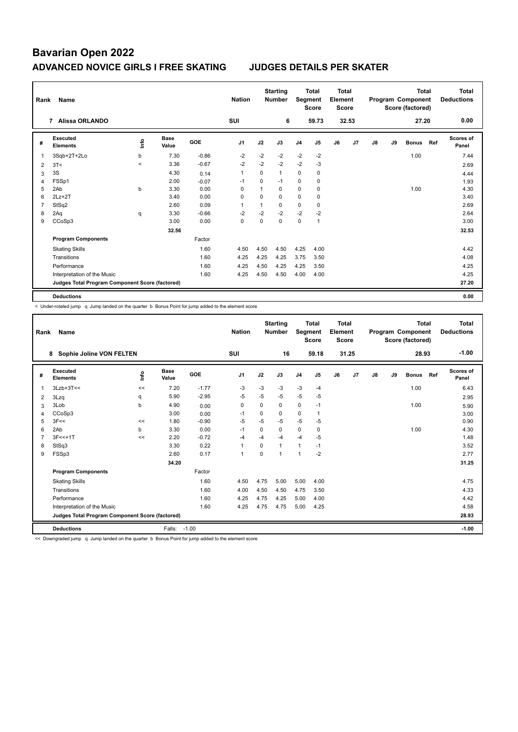| Rank | Name                                            |                          |                      |            | <b>Nation</b>  |             | <b>Starting</b><br><b>Number</b> | Segment        | <b>Total</b><br><b>Score</b> | <b>Total</b><br>Element<br><b>Score</b> |       |    |    | <b>Total</b><br>Program Component<br>Score (factored) |     | Total<br><b>Deductions</b> |
|------|-------------------------------------------------|--------------------------|----------------------|------------|----------------|-------------|----------------------------------|----------------|------------------------------|-----------------------------------------|-------|----|----|-------------------------------------------------------|-----|----------------------------|
|      | 7 Alissa ORLANDO                                |                          |                      |            | SUI            |             | 6                                |                | 59.73                        |                                         | 32.53 |    |    | 27.20                                                 |     | 0.00                       |
| #    | <b>Executed</b><br><b>Elements</b>              | ۴ů                       | <b>Base</b><br>Value | <b>GOE</b> | J <sub>1</sub> | J2          | J3                               | J <sub>4</sub> | J5                           | J6                                      | J7    | J8 | J9 | <b>Bonus</b>                                          | Ref | Scores of<br>Panel         |
| 1    | 3Sqb+2T+2Lo                                     | b                        | 7.30                 | $-0.86$    | $-2$           | $-2$        | $-2$                             | $-2$           | $-2$                         |                                         |       |    |    | 1.00                                                  |     | 7.44                       |
| 2    | 3T<                                             | $\overline{\phantom{0}}$ | 3.36                 | $-0.67$    | $-2$           | $-2$        | $-2$                             | $-2$           | $-3$                         |                                         |       |    |    |                                                       |     | 2.69                       |
| 3    | 3S                                              |                          | 4.30                 | 0.14       | $\mathbf{1}$   | $\Omega$    | 1                                | 0              | 0                            |                                         |       |    |    |                                                       |     | 4.44                       |
| 4    | FSSp1                                           |                          | 2.00                 | $-0.07$    | -1             | $\mathbf 0$ | $-1$                             | 0              | $\mathbf 0$                  |                                         |       |    |    |                                                       |     | 1.93                       |
| 5    | 2Ab                                             | b                        | 3.30                 | 0.00       | $\Omega$       | 1           | 0                                | 0              | 0                            |                                         |       |    |    | 1.00                                                  |     | 4.30                       |
| 6    | $2Lz+2T$                                        |                          | 3.40                 | 0.00       | 0              | 0           | 0                                | 0              | 0                            |                                         |       |    |    |                                                       |     | 3.40                       |
| 7    | StSq2                                           |                          | 2.60                 | 0.09       | 1              | 1           | 0                                | 0              | 0                            |                                         |       |    |    |                                                       |     | 2.69                       |
| 8    | 2Aq                                             | q                        | 3.30                 | $-0.66$    | $-2$           | $-2$        | $-2$                             | $-2$           | $-2$                         |                                         |       |    |    |                                                       |     | 2.64                       |
| 9    | CCoSp3                                          |                          | 3.00                 | 0.00       | $\mathbf 0$    | $\mathbf 0$ | $\mathbf 0$                      | 0              | $\mathbf{1}$                 |                                         |       |    |    |                                                       |     | 3.00                       |
|      |                                                 |                          | 32.56                |            |                |             |                                  |                |                              |                                         |       |    |    |                                                       |     | 32.53                      |
|      | <b>Program Components</b>                       |                          |                      | Factor     |                |             |                                  |                |                              |                                         |       |    |    |                                                       |     |                            |
|      | <b>Skating Skills</b>                           |                          |                      | 1.60       | 4.50           | 4.50        | 4.50                             | 4.25           | 4.00                         |                                         |       |    |    |                                                       |     | 4.42                       |
|      | Transitions                                     |                          |                      | 1.60       | 4.25           | 4.25        | 4.25                             | 3.75           | 3.50                         |                                         |       |    |    |                                                       |     | 4.08                       |
|      | Performance                                     |                          |                      | 1.60       | 4.25           | 4.50        | 4.25                             | 4.25           | 3.50                         |                                         |       |    |    |                                                       |     | 4.25                       |
|      | Interpretation of the Music                     |                          |                      | 1.60       | 4.25           | 4.50        | 4.50                             | 4.00           | 4.00                         |                                         |       |    |    |                                                       |     | 4.25                       |
|      | Judges Total Program Component Score (factored) |                          |                      |            |                |             |                                  |                |                              |                                         |       |    |    |                                                       |     | 27.20                      |
|      | <b>Deductions</b>                               |                          |                      |            |                |             |                                  |                |                              |                                         |       |    |    |                                                       |     | 0.00                       |

< Under-rotated jump q Jump landed on the quarter b Bonus Point for jump added to the element score

| Rank | Name                                            |       |                      |         | <b>Nation</b>  |          | <b>Starting</b><br><b>Number</b> | Segment        | <b>Total</b><br><b>Score</b> | <b>Total</b><br>Element<br><b>Score</b> |       |    |    | <b>Total</b><br>Program Component<br>Score (factored) |     | Total<br><b>Deductions</b> |
|------|-------------------------------------------------|-------|----------------------|---------|----------------|----------|----------------------------------|----------------|------------------------------|-----------------------------------------|-------|----|----|-------------------------------------------------------|-----|----------------------------|
|      | Sophie Joline VON FELTEN<br>8                   |       |                      |         | <b>SUI</b>     |          | 16                               |                | 59.18                        |                                         | 31.25 |    |    | 28.93                                                 |     | $-1.00$                    |
| #    | Executed<br><b>Elements</b>                     | Linfo | <b>Base</b><br>Value | GOE     | J <sub>1</sub> | J2       | J3                               | J <sub>4</sub> | J5                           | J6                                      | J7    | J8 | J9 | <b>Bonus</b>                                          | Ref | Scores of<br>Panel         |
|      | $3Lzb+3T<<$                                     | <<    | 7.20                 | $-1.77$ | $-3$           | $-3$     | $-3$                             | $-3$           | $-4$                         |                                         |       |    |    | 1.00                                                  |     | 6.43                       |
| 2    | 3Lzq                                            | q     | 5.90                 | $-2.95$ | $-5$           | $-5$     | $-5$                             | $-5$           | $-5$                         |                                         |       |    |    |                                                       |     | 2.95                       |
| 3    | 3Lob                                            | b     | 4.90                 | 0.00    | 0              | 0        | 0                                | 0              | $-1$                         |                                         |       |    |    | 1.00                                                  |     | 5.90                       |
| 4    | CCoSp3                                          |       | 3.00                 | 0.00    | $-1$           | $\Omega$ | 0                                | 0              | 1                            |                                         |       |    |    |                                                       |     | 3.00                       |
| 5    | 3F<<                                            | <<    | 1.80                 | $-0.90$ | $-5$           | $-5$     | $-5$                             | $-5$           | $-5$                         |                                         |       |    |    |                                                       |     | 0.90                       |
| 6    | 2Ab                                             | b     | 3.30                 | 0.00    | $-1$           | $\Omega$ | 0                                | 0              | $\mathbf 0$                  |                                         |       |    |    | 1.00                                                  |     | 4.30                       |
| 7    | $3F<<+1T$                                       | <<    | 2.20                 | $-0.72$ | $-4$           | $-4$     | $-4$                             | $-4$           | $-5$                         |                                         |       |    |    |                                                       |     | 1.48                       |
| 8    | StSq3                                           |       | 3.30                 | 0.22    | 1              | $\Omega$ | $\overline{1}$                   | $\mathbf{1}$   | $-1$                         |                                         |       |    |    |                                                       |     | 3.52                       |
| 9    | FSSp3                                           |       | 2.60                 | 0.17    | 1              | $\Omega$ | 1                                | $\mathbf{1}$   | $-2$                         |                                         |       |    |    |                                                       |     | 2.77                       |
|      |                                                 |       | 34.20                |         |                |          |                                  |                |                              |                                         |       |    |    |                                                       |     | 31.25                      |
|      | <b>Program Components</b>                       |       |                      | Factor  |                |          |                                  |                |                              |                                         |       |    |    |                                                       |     |                            |
|      | <b>Skating Skills</b>                           |       |                      | 1.60    | 4.50           | 4.75     | 5.00                             | 5.00           | 4.00                         |                                         |       |    |    |                                                       |     | 4.75                       |
|      | Transitions                                     |       |                      | 1.60    | 4.00           | 4.50     | 4.50                             | 4.75           | 3.50                         |                                         |       |    |    |                                                       |     | 4.33                       |
|      | Performance                                     |       |                      | 1.60    | 4.25           | 4.75     | 4.25                             | 5.00           | 4.00                         |                                         |       |    |    |                                                       |     | 4.42                       |
|      | Interpretation of the Music                     |       |                      | 1.60    | 4.25           | 4.75     | 4.75                             | 5.00           | 4.25                         |                                         |       |    |    |                                                       |     | 4.58                       |
|      | Judges Total Program Component Score (factored) |       |                      |         |                |          |                                  |                |                              |                                         |       |    |    |                                                       |     | 28.93                      |
|      | <b>Deductions</b>                               |       | Falls:               | $-1.00$ |                |          |                                  |                |                              |                                         |       |    |    |                                                       |     | $-1.00$                    |

<< Downgraded jump q Jump landed on the quarter b Bonus Point for jump added to the element score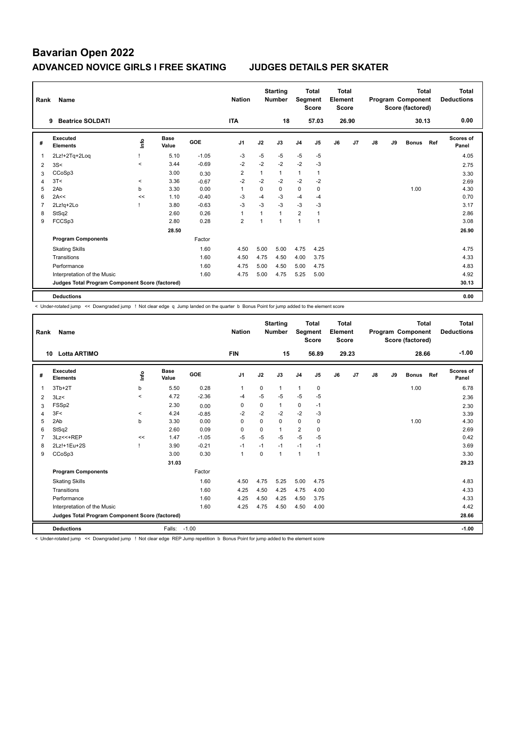| Rank           | Name                                            |                          |               |            | <b>Nation</b>  |              | <b>Starting</b><br><b>Number</b> |                | <b>Total</b><br>Segment<br><b>Score</b> | Total<br>Element<br><b>Score</b> |       |    |    | <b>Total</b><br>Program Component<br>Score (factored) |     | Total<br><b>Deductions</b> |
|----------------|-------------------------------------------------|--------------------------|---------------|------------|----------------|--------------|----------------------------------|----------------|-----------------------------------------|----------------------------------|-------|----|----|-------------------------------------------------------|-----|----------------------------|
|                | <b>Beatrice SOLDATI</b><br>9                    |                          |               |            | <b>ITA</b>     |              | 18                               |                | 57.03                                   |                                  | 26.90 |    |    | 30.13                                                 |     | 0.00                       |
| #              | Executed<br><b>Elements</b>                     | ۴ů                       | Base<br>Value | <b>GOE</b> | J <sub>1</sub> | J2           | J3                               | J <sub>4</sub> | J5                                      | J6                               | J7    | J8 | J9 | <b>Bonus</b>                                          | Ref | Scores of<br>Panel         |
| 1              | 2Lz!+2Tq+2Loq                                   |                          | 5.10          | $-1.05$    | $-3$           | -5           | $-5$                             | $-5$           | $-5$                                    |                                  |       |    |    |                                                       |     | 4.05                       |
| $\overline{2}$ | 3S<                                             | $\overline{\phantom{0}}$ | 3.44          | $-0.69$    | $-2$           | $-2$         | $-2$                             | $-2$           | $-3$                                    |                                  |       |    |    |                                                       |     | 2.75                       |
| 3              | CCoSp3                                          |                          | 3.00          | 0.30       | $\overline{2}$ | 1            | $\mathbf{1}$                     | 1              | $\mathbf{1}$                            |                                  |       |    |    |                                                       |     | 3.30                       |
| 4              | 3T<                                             | $\,<\,$                  | 3.36          | $-0.67$    | $-2$           | $-2$         | $-2$                             | $-2$           | $-2$                                    |                                  |       |    |    |                                                       |     | 2.69                       |
| 5              | 2Ab                                             | b                        | 3.30          | 0.00       | 1              | 0            | 0                                | 0              | 0                                       |                                  |       |    |    | 1.00                                                  |     | 4.30                       |
| 6              | 2A<<                                            | <<                       | 1.10          | $-0.40$    | $-3$           | $-4$         | $-3$                             | $-4$           | $-4$                                    |                                  |       |    |    |                                                       |     | 0.70                       |
| 7              | 2Lz!g+2Lo                                       |                          | 3.80          | $-0.63$    | $-3$           | $-3$         | $-3$                             | $-3$           | $-3$                                    |                                  |       |    |    |                                                       |     | 3.17                       |
| 8              | StSq2                                           |                          | 2.60          | 0.26       | $\overline{1}$ | $\mathbf{1}$ | $\mathbf{1}$                     | $\overline{2}$ |                                         |                                  |       |    |    |                                                       |     | 2.86                       |
| 9              | FCCSp3                                          |                          | 2.80          | 0.28       | $\overline{2}$ | 1            | 1                                | 1              | $\overline{1}$                          |                                  |       |    |    |                                                       |     | 3.08                       |
|                |                                                 |                          | 28.50         |            |                |              |                                  |                |                                         |                                  |       |    |    |                                                       |     | 26.90                      |
|                | <b>Program Components</b>                       |                          |               | Factor     |                |              |                                  |                |                                         |                                  |       |    |    |                                                       |     |                            |
|                | <b>Skating Skills</b>                           |                          |               | 1.60       | 4.50           | 5.00         | 5.00                             | 4.75           | 4.25                                    |                                  |       |    |    |                                                       |     | 4.75                       |
|                | Transitions                                     |                          |               | 1.60       | 4.50           | 4.75         | 4.50                             | 4.00           | 3.75                                    |                                  |       |    |    |                                                       |     | 4.33                       |
|                | Performance                                     |                          |               | 1.60       | 4.75           | 5.00         | 4.50                             | 5.00           | 4.75                                    |                                  |       |    |    |                                                       |     | 4.83                       |
|                | Interpretation of the Music                     |                          |               | 1.60       | 4.75           | 5.00         | 4.75                             | 5.25           | 5.00                                    |                                  |       |    |    |                                                       |     | 4.92                       |
|                | Judges Total Program Component Score (factored) |                          |               |            |                |              |                                  |                |                                         |                                  |       |    |    |                                                       |     | 30.13                      |
|                | <b>Deductions</b>                               |                          |               |            |                |              |                                  |                |                                         |                                  |       |    |    |                                                       |     | 0.00                       |

< Under-rotated jump << Downgraded jump ! Not clear edge q Jump landed on the quarter b Bonus Point for jump added to the element score

| Rank | Name                                            |         |                      |         | <b>Nation</b>  |          | <b>Starting</b><br><b>Number</b> | Segment        | Total<br><b>Score</b> | <b>Total</b><br>Element<br><b>Score</b> |                |    |    | <b>Total</b><br>Program Component<br>Score (factored) |     | <b>Total</b><br><b>Deductions</b> |
|------|-------------------------------------------------|---------|----------------------|---------|----------------|----------|----------------------------------|----------------|-----------------------|-----------------------------------------|----------------|----|----|-------------------------------------------------------|-----|-----------------------------------|
| 10   | <b>Lotta ARTIMO</b>                             |         |                      |         | <b>FIN</b>     |          | 15                               |                | 56.89                 |                                         | 29.23          |    |    | 28.66                                                 |     | $-1.00$                           |
| #    | Executed<br><b>Elements</b>                     | lnfo    | <b>Base</b><br>Value | GOE     | J <sub>1</sub> | J2       | J3                               | J <sub>4</sub> | J5                    | J6                                      | J <sub>7</sub> | J8 | J9 | <b>Bonus</b>                                          | Ref | <b>Scores of</b><br>Panel         |
| 1    | $3Tb+2T$                                        | b       | 5.50                 | 0.28    | 1              | 0        | $\mathbf{1}$                     | $\overline{1}$ | 0                     |                                         |                |    |    | 1.00                                                  |     | 6.78                              |
| 2    | 3Lz                                             | $\prec$ | 4.72                 | $-2.36$ | -4             | $-5$     | $-5$                             | $-5$           | $-5$                  |                                         |                |    |    |                                                       |     | 2.36                              |
| 3    | FSSp2                                           |         | 2.30                 | 0.00    | 0              | 0        | 1                                | 0              | $-1$                  |                                         |                |    |    |                                                       |     | 2.30                              |
| 4    | 3F<                                             | $\,<\,$ | 4.24                 | $-0.85$ | $-2$           | $-2$     | $-2$                             | $-2$           | $-3$                  |                                         |                |    |    |                                                       |     | 3.39                              |
| 5    | 2Ab                                             | b       | 3.30                 | 0.00    | $\mathbf 0$    | $\Omega$ | 0                                | $\mathbf 0$    | $\mathbf 0$           |                                         |                |    |    | 1.00                                                  |     | 4.30                              |
| 6    | StSq2                                           |         | 2.60                 | 0.09    | $\Omega$       | $\Omega$ | 1                                | $\overline{2}$ | $\mathbf 0$           |                                         |                |    |    |                                                       |     | 2.69                              |
|      | 3Lz << +REP                                     | <<      | 1.47                 | $-1.05$ | $-5$           | $-5$     | $-5$                             | $-5$           | $-5$                  |                                         |                |    |    |                                                       |     | 0.42                              |
| 8    | 2Lz!+1Eu+2S                                     |         | 3.90                 | $-0.21$ | $-1$           | $-1$     | $-1$                             | $-1$           | $-1$                  |                                         |                |    |    |                                                       |     | 3.69                              |
| 9    | CCoSp3                                          |         | 3.00                 | 0.30    | $\mathbf{1}$   | $\Omega$ | $\mathbf{1}$                     | $\mathbf{1}$   | $\mathbf{1}$          |                                         |                |    |    |                                                       |     | 3.30                              |
|      |                                                 |         | 31.03                |         |                |          |                                  |                |                       |                                         |                |    |    |                                                       |     | 29.23                             |
|      | <b>Program Components</b>                       |         |                      | Factor  |                |          |                                  |                |                       |                                         |                |    |    |                                                       |     |                                   |
|      | <b>Skating Skills</b>                           |         |                      | 1.60    | 4.50           | 4.75     | 5.25                             | 5.00           | 4.75                  |                                         |                |    |    |                                                       |     | 4.83                              |
|      | Transitions                                     |         |                      | 1.60    | 4.25           | 4.50     | 4.25                             | 4.75           | 4.00                  |                                         |                |    |    |                                                       |     | 4.33                              |
|      | Performance                                     |         |                      | 1.60    | 4.25           | 4.50     | 4.25                             | 4.50           | 3.75                  |                                         |                |    |    |                                                       |     | 4.33                              |
|      | Interpretation of the Music                     |         |                      | 1.60    | 4.25           | 4.75     | 4.50                             | 4.50           | 4.00                  |                                         |                |    |    |                                                       |     | 4.42                              |
|      | Judges Total Program Component Score (factored) |         |                      |         |                |          |                                  |                |                       |                                         |                |    |    |                                                       |     | 28.66                             |
|      | <b>Deductions</b>                               |         | Falls:               | $-1.00$ |                |          |                                  |                |                       |                                         |                |    |    |                                                       |     | $-1.00$                           |

< Under-rotated jump << Downgraded jump ! Not clear edge REP Jump repetition b Bonus Point for jump added to the element score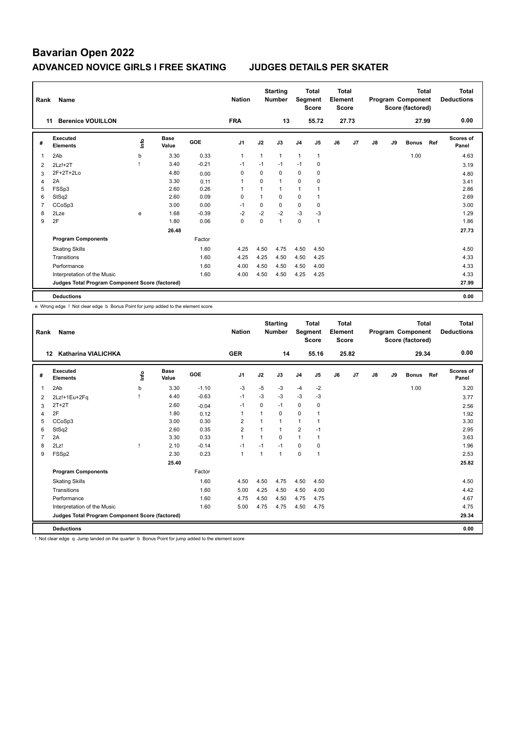| Rank           | Name                                            |      |                      |            | <b>Nation</b>  |      | <b>Starting</b><br><b>Number</b> |                | <b>Total</b><br>Segment<br><b>Score</b> | <b>Total</b><br>Element<br><b>Score</b> |       |               |    | <b>Total</b><br>Program Component<br>Score (factored) |     | Total<br><b>Deductions</b> |
|----------------|-------------------------------------------------|------|----------------------|------------|----------------|------|----------------------------------|----------------|-----------------------------------------|-----------------------------------------|-------|---------------|----|-------------------------------------------------------|-----|----------------------------|
|                | <b>Berenice VOUILLON</b><br>11                  |      |                      |            | <b>FRA</b>     |      | 13                               |                | 55.72                                   |                                         | 27.73 |               |    | 27.99                                                 |     | 0.00                       |
| #              | Executed<br><b>Elements</b>                     | ١nfo | <b>Base</b><br>Value | <b>GOE</b> | J <sub>1</sub> | J2   | J3                               | J <sub>4</sub> | J <sub>5</sub>                          | J6                                      | J7    | $\mathsf{J}8$ | J9 | <b>Bonus</b>                                          | Ref | Scores of<br>Panel         |
|                | 2Ab                                             | b    | 3.30                 | 0.33       | 1              | 1    | $\mathbf{1}$                     | $\mathbf{1}$   | $\mathbf{1}$                            |                                         |       |               |    | 1.00                                                  |     | 4.63                       |
| $\overline{2}$ | $2Lz!+2T$                                       |      | 3.40                 | $-0.21$    | $-1$           | $-1$ | $-1$                             | $-1$           | 0                                       |                                         |       |               |    |                                                       |     | 3.19                       |
| 3              | $2F+2T+2Lo$                                     |      | 4.80                 | 0.00       | $\Omega$       | 0    | 0                                | 0              | 0                                       |                                         |       |               |    |                                                       |     | 4.80                       |
| 4              | 2A                                              |      | 3.30                 | 0.11       | 1              | 0    | $\mathbf{1}$                     | $\mathbf 0$    | $\mathbf 0$                             |                                         |       |               |    |                                                       |     | 3.41                       |
| 5              | FSSp3                                           |      | 2.60                 | 0.26       | 1              | 1    | $\mathbf{1}$                     | 1              | $\overline{\phantom{a}}$                |                                         |       |               |    |                                                       |     | 2.86                       |
| 6              | StSq2                                           |      | 2.60                 | 0.09       | 0              | 1    | 0                                | 0              | 1                                       |                                         |       |               |    |                                                       |     | 2.69                       |
| 7              | CCoSp3                                          |      | 3.00                 | 0.00       | $-1$           | 0    | $\mathbf 0$                      | $\mathbf 0$    | 0                                       |                                         |       |               |    |                                                       |     | 3.00                       |
| 8              | 2Lze                                            | e    | 1.68                 | $-0.39$    | $-2$           | $-2$ | $-2$                             | $-3$           | $-3$                                    |                                         |       |               |    |                                                       |     | 1.29                       |
| 9              | 2F                                              |      | 1.80                 | 0.06       | 0              | 0    | $\mathbf{1}$                     | $\mathbf 0$    | $\overline{1}$                          |                                         |       |               |    |                                                       |     | 1.86                       |
|                |                                                 |      | 26.48                |            |                |      |                                  |                |                                         |                                         |       |               |    |                                                       |     | 27.73                      |
|                | <b>Program Components</b>                       |      |                      | Factor     |                |      |                                  |                |                                         |                                         |       |               |    |                                                       |     |                            |
|                | <b>Skating Skills</b>                           |      |                      | 1.60       | 4.25           | 4.50 | 4.75                             | 4.50           | 4.50                                    |                                         |       |               |    |                                                       |     | 4.50                       |
|                | Transitions                                     |      |                      | 1.60       | 4.25           | 4.25 | 4.50                             | 4.50           | 4.25                                    |                                         |       |               |    |                                                       |     | 4.33                       |
|                | Performance                                     |      |                      | 1.60       | 4.00           | 4.50 | 4.50                             | 4.50           | 4.00                                    |                                         |       |               |    |                                                       |     | 4.33                       |
|                | Interpretation of the Music                     |      |                      | 1.60       | 4.00           | 4.50 | 4.50                             | 4.25           | 4.25                                    |                                         |       |               |    |                                                       |     | 4.33                       |
|                | Judges Total Program Component Score (factored) |      |                      |            |                |      |                                  |                |                                         |                                         |       |               |    |                                                       |     | 27.99                      |
|                | <b>Deductions</b>                               |      |                      |            |                |      |                                  |                |                                         |                                         |       |               |    |                                                       |     | 0.00                       |

e Wrong edge ! Not clear edge b Bonus Point for jump added to the element score

| Rank           | Name                                            |    |                      |         | <b>Nation</b>  |                | <b>Starting</b><br><b>Number</b> | Segment        | <b>Total</b><br><b>Score</b> | <b>Total</b><br>Element<br><b>Score</b> |       |    |    | <b>Total</b><br>Program Component<br>Score (factored) |     | <b>Total</b><br><b>Deductions</b> |
|----------------|-------------------------------------------------|----|----------------------|---------|----------------|----------------|----------------------------------|----------------|------------------------------|-----------------------------------------|-------|----|----|-------------------------------------------------------|-----|-----------------------------------|
| 12             | <b>Katharina VIALICHKA</b>                      |    |                      |         | <b>GER</b>     |                | 14                               |                | 55.16                        |                                         | 25.82 |    |    | 29.34                                                 |     | 0.00                              |
| #              | Executed<br><b>Elements</b>                     | ١m | <b>Base</b><br>Value | GOE     | J <sub>1</sub> | J2             | J3                               | J <sub>4</sub> | J5                           | J6                                      | J7    | J8 | J9 | <b>Bonus</b>                                          | Ref | <b>Scores of</b><br>Panel         |
| 1              | 2Ab                                             | b  | 3.30                 | $-1.10$ | $-3$           | $-5$           | $-3$                             | $-4$           | $-2$                         |                                         |       |    |    | 1.00                                                  |     | 3.20                              |
| 2              | 2Lz!+1Eu+2Fq                                    |    | 4.40                 | $-0.63$ | $-1$           | $-3$           | $-3$                             | $-3$           | -3                           |                                         |       |    |    |                                                       |     | 3.77                              |
| 3              | $2T+2T$                                         |    | 2.60                 | $-0.04$ | $-1$           | $\Omega$       | $-1$                             | $\mathbf 0$    | 0                            |                                         |       |    |    |                                                       |     | 2.56                              |
| 4              | 2F                                              |    | 1.80                 | 0.12    | $\mathbf 1$    |                | 0                                | 0              |                              |                                         |       |    |    |                                                       |     | 1.92                              |
| 5              | CCoSp3                                          |    | 3.00                 | 0.30    | $\overline{2}$ |                | 1                                | $\mathbf{1}$   | $\mathbf 1$                  |                                         |       |    |    |                                                       |     | 3.30                              |
| 6              | StSq2                                           |    | 2.60                 | 0.35    | $\overline{2}$ | $\overline{1}$ | 1                                | $\overline{2}$ | $-1$                         |                                         |       |    |    |                                                       |     | 2.95                              |
| $\overline{7}$ | 2A                                              |    | 3.30                 | 0.33    | 1              |                | $\Omega$                         | $\mathbf{1}$   | $\mathbf 1$                  |                                         |       |    |    |                                                       |     | 3.63                              |
| 8              | 2Lz!                                            |    | 2.10                 | $-0.14$ | $-1$           | $-1$           | $-1$                             | 0              | $\Omega$                     |                                         |       |    |    |                                                       |     | 1.96                              |
| 9              | FSSp2                                           |    | 2.30                 | 0.23    | $\mathbf{1}$   | 1              | 1                                | $\mathbf 0$    | $\overline{1}$               |                                         |       |    |    |                                                       |     | 2.53                              |
|                |                                                 |    | 25.40                |         |                |                |                                  |                |                              |                                         |       |    |    |                                                       |     | 25.82                             |
|                | <b>Program Components</b>                       |    |                      | Factor  |                |                |                                  |                |                              |                                         |       |    |    |                                                       |     |                                   |
|                | <b>Skating Skills</b>                           |    |                      | 1.60    | 4.50           | 4.50           | 4.75                             | 4.50           | 4.50                         |                                         |       |    |    |                                                       |     | 4.50                              |
|                | Transitions                                     |    |                      | 1.60    | 5.00           | 4.25           | 4.50                             | 4.50           | 4.00                         |                                         |       |    |    |                                                       |     | 4.42                              |
|                | Performance                                     |    |                      | 1.60    | 4.75           | 4.50           | 4.50                             | 4.75           | 4.75                         |                                         |       |    |    |                                                       |     | 4.67                              |
|                | Interpretation of the Music                     |    |                      | 1.60    | 5.00           | 4.75           | 4.75                             | 4.50           | 4.75                         |                                         |       |    |    |                                                       |     | 4.75                              |
|                | Judges Total Program Component Score (factored) |    |                      |         |                |                |                                  |                |                              |                                         |       |    |    |                                                       |     | 29.34                             |
|                | <b>Deductions</b>                               |    |                      |         |                |                |                                  |                |                              |                                         |       |    |    |                                                       |     | 0.00                              |

! Not clear edge q Jump landed on the quarter b Bonus Point for jump added to the element score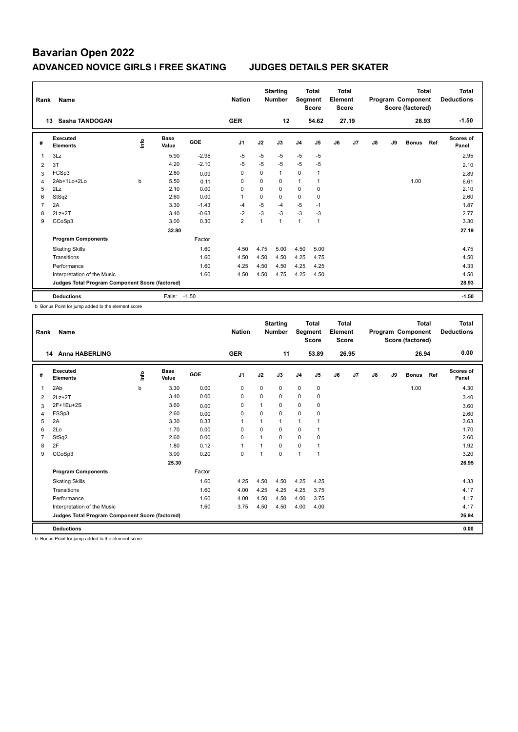| Rank           | Name                                            |    | <b>Nation</b>        |            | <b>Starting</b><br><b>Number</b> | Segment      | <b>Total</b><br><b>Score</b> | Total<br>Element<br><b>Score</b> |                |    |       | <b>Total</b><br>Program Component<br>Score (factored) |    | <b>Total</b><br><b>Deductions</b> |     |                           |
|----------------|-------------------------------------------------|----|----------------------|------------|----------------------------------|--------------|------------------------------|----------------------------------|----------------|----|-------|-------------------------------------------------------|----|-----------------------------------|-----|---------------------------|
|                | <b>Sasha TANDOGAN</b><br>13                     |    |                      |            | <b>GER</b>                       |              | 12                           |                                  | 54.62          |    | 27.19 |                                                       |    | 28.93                             |     | $-1.50$                   |
| #              | Executed<br><b>Elements</b>                     | ۴ů | <b>Base</b><br>Value | <b>GOE</b> | J <sub>1</sub>                   | J2           | J3                           | J <sub>4</sub>                   | J <sub>5</sub> | J6 | J7    | J8                                                    | J9 | <b>Bonus</b>                      | Ref | <b>Scores of</b><br>Panel |
| 1              | 3Lz                                             |    | 5.90                 | $-2.95$    | $-5$                             | $-5$         | $-5$                         | $-5$                             | $-5$           |    |       |                                                       |    |                                   |     | 2.95                      |
| 2              | 3T                                              |    | 4.20                 | $-2.10$    | $-5$                             | $-5$         | $-5$                         | $-5$                             | $-5$           |    |       |                                                       |    |                                   |     | 2.10                      |
| 3              | FCSp3                                           |    | 2.80                 | 0.09       | 0                                | $\Omega$     | $\mathbf{1}$                 | 0                                | $\mathbf{1}$   |    |       |                                                       |    |                                   |     | 2.89                      |
| $\overline{4}$ | 2Ab+1Lo+2Lo                                     | b  | 5.50                 | 0.11       | $\Omega$                         | $\Omega$     | $\Omega$                     | 1                                | $\mathbf{1}$   |    |       |                                                       |    | 1.00                              |     | 6.61                      |
| 5              | 2Lz                                             |    | 2.10                 | 0.00       | $\Omega$                         | $\Omega$     | $\Omega$                     | 0                                | 0              |    |       |                                                       |    |                                   |     | 2.10                      |
| 6              | StSq2                                           |    | 2.60                 | 0.00       | -1                               | $\Omega$     | $\Omega$                     | $\mathbf 0$                      | $\mathbf 0$    |    |       |                                                       |    |                                   |     | 2.60                      |
| 7              | 2A                                              |    | 3.30                 | $-1.43$    | $-4$                             | $-5$         | -4                           | $-5$                             | $-1$           |    |       |                                                       |    |                                   |     | 1.87                      |
| 8              | $2Lz+2T$                                        |    | 3.40                 | $-0.63$    | $-2$                             | $-3$         | $-3$                         | $-3$                             | -3             |    |       |                                                       |    |                                   |     | 2.77                      |
| 9              | CCoSp3                                          |    | 3.00                 | 0.30       | $\overline{2}$                   | $\mathbf{1}$ | $\mathbf{1}$                 | $\mathbf{1}$                     | $\overline{1}$ |    |       |                                                       |    |                                   |     | 3.30                      |
|                |                                                 |    | 32.80                |            |                                  |              |                              |                                  |                |    |       |                                                       |    |                                   |     | 27.19                     |
|                | <b>Program Components</b>                       |    |                      | Factor     |                                  |              |                              |                                  |                |    |       |                                                       |    |                                   |     |                           |
|                | <b>Skating Skills</b>                           |    |                      | 1.60       | 4.50                             | 4.75         | 5.00                         | 4.50                             | 5.00           |    |       |                                                       |    |                                   |     | 4.75                      |
|                | Transitions                                     |    |                      | 1.60       | 4.50                             | 4.50         | 4.50                         | 4.25                             | 4.75           |    |       |                                                       |    |                                   |     | 4.50                      |
|                | Performance                                     |    |                      | 1.60       | 4.25                             | 4.50         | 4.50                         | 4.25                             | 4.25           |    |       |                                                       |    |                                   |     | 4.33                      |
|                | Interpretation of the Music                     |    |                      | 1.60       | 4.50                             | 4.50         | 4.75                         | 4.25                             | 4.50           |    |       |                                                       |    |                                   |     | 4.50                      |
|                | Judges Total Program Component Score (factored) |    |                      |            |                                  |              |                              |                                  |                |    |       |                                                       |    |                                   |     | 28.93                     |
|                | <b>Deductions</b>                               |    | Falls:               | $-1.50$    |                                  |              |                              |                                  |                |    |       |                                                       |    |                                   |     | $-1.50$                   |

b Bonus Point for jump added to the element score

| Rank | Name                                            |             | <b>Nation</b> |        | <b>Starting</b><br><b>Number</b> | Segment      | <b>Total</b><br><b>Score</b> | <b>Total</b><br>Element<br><b>Score</b> |              |    |       | <b>Total</b><br>Program Component<br>Score (factored) |    | <b>Total</b><br><b>Deductions</b> |     |                    |
|------|-------------------------------------------------|-------------|---------------|--------|----------------------------------|--------------|------------------------------|-----------------------------------------|--------------|----|-------|-------------------------------------------------------|----|-----------------------------------|-----|--------------------|
|      | <b>Anna HABERLING</b><br>14                     |             |               |        | <b>GER</b>                       |              | 11                           |                                         | 53.89        |    | 26.95 |                                                       |    | 26.94                             |     | 0.00               |
| #    | Executed<br><b>Elements</b>                     | <u>lnfo</u> | Base<br>Value | GOE    | J <sub>1</sub>                   | J2           | J3                           | J <sub>4</sub>                          | J5           | J6 | J7    | J8                                                    | J9 | <b>Bonus</b>                      | Ref | Scores of<br>Panel |
| 1    | 2Ab                                             | b           | 3.30          | 0.00   | 0                                | 0            | 0                            | $\mathbf 0$                             | 0            |    |       |                                                       |    | 1.00                              |     | 4.30               |
| 2    | $2Lz+2T$                                        |             | 3.40          | 0.00   | 0                                | $\Omega$     | $\Omega$                     | $\mathbf 0$                             | 0            |    |       |                                                       |    |                                   |     | 3.40               |
| 3    | 2F+1Eu+2S                                       |             | 3.60          | 0.00   | $\mathbf 0$                      | 1            | 0                            | 0                                       | 0            |    |       |                                                       |    |                                   |     | 3.60               |
| 4    | FSSp3                                           |             | 2.60          | 0.00   | $\Omega$                         | $\Omega$     | $\Omega$                     | $\Omega$                                | $\Omega$     |    |       |                                                       |    |                                   |     | 2.60               |
| 5    | 2A                                              |             | 3.30          | 0.33   | $\overline{1}$                   | 1            | 1                            | $\mathbf{1}$                            | 1            |    |       |                                                       |    |                                   |     | 3.63               |
| 6    | 2Lo                                             |             | 1.70          | 0.00   | $\Omega$                         | $\Omega$     | $\Omega$                     | $\Omega$                                | 1            |    |       |                                                       |    |                                   |     | 1.70               |
| 7    | StSq2                                           |             | 2.60          | 0.00   | $\mathbf 0$                      | 1            | $\Omega$                     | 0                                       | 0            |    |       |                                                       |    |                                   |     | 2.60               |
| 8    | 2F                                              |             | 1.80          | 0.12   | $\overline{1}$                   |              | $\Omega$                     | $\Omega$                                | 1            |    |       |                                                       |    |                                   |     | 1.92               |
| 9    | CCoSp3                                          |             | 3.00          | 0.20   | $\mathbf 0$                      | $\mathbf{1}$ | $\Omega$                     | $\mathbf{1}$                            | $\mathbf{1}$ |    |       |                                                       |    |                                   |     | 3.20               |
|      |                                                 |             | 25.30         |        |                                  |              |                              |                                         |              |    |       |                                                       |    |                                   |     | 26.95              |
|      | <b>Program Components</b>                       |             |               | Factor |                                  |              |                              |                                         |              |    |       |                                                       |    |                                   |     |                    |
|      | <b>Skating Skills</b>                           |             |               | 1.60   | 4.25                             | 4.50         | 4.50                         | 4.25                                    | 4.25         |    |       |                                                       |    |                                   |     | 4.33               |
|      | Transitions                                     |             |               | 1.60   | 4.00                             | 4.25         | 4.25                         | 4.25                                    | 3.75         |    |       |                                                       |    |                                   |     | 4.17               |
|      | Performance                                     |             |               | 1.60   | 4.00                             | 4.50         | 4.50                         | 4.00                                    | 3.75         |    |       |                                                       |    |                                   |     | 4.17               |
|      | Interpretation of the Music                     |             |               | 1.60   | 3.75                             | 4.50         | 4.50                         | 4.00                                    | 4.00         |    |       |                                                       |    |                                   |     | 4.17               |
|      | Judges Total Program Component Score (factored) |             |               |        |                                  |              |                              |                                         |              |    |       |                                                       |    |                                   |     | 26.94              |
|      | <b>Deductions</b>                               |             |               |        |                                  |              |                              |                                         |              |    |       |                                                       |    |                                   |     | 0.00               |

b Bonus Point for jump added to the element score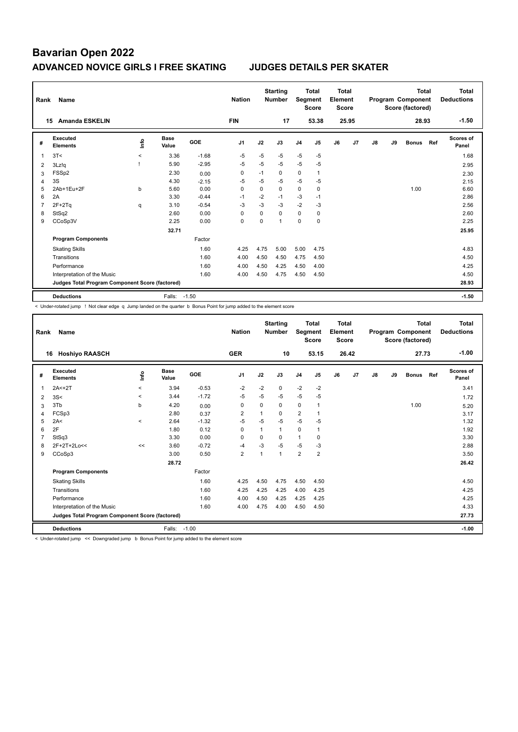| Rank           | Name                                            |                          | <b>Nation</b>        |            | <b>Starting</b><br><b>Number</b> | Segment  | <b>Total</b><br><b>Score</b> | Total<br>Element<br><b>Score</b> |              |    |       | <b>Total</b><br>Program Component<br>Score (factored) |    | <b>Total</b><br><b>Deductions</b> |     |                    |
|----------------|-------------------------------------------------|--------------------------|----------------------|------------|----------------------------------|----------|------------------------------|----------------------------------|--------------|----|-------|-------------------------------------------------------|----|-----------------------------------|-----|--------------------|
|                | <b>Amanda ESKELIN</b><br>15                     |                          |                      |            | <b>FIN</b>                       |          | 17                           |                                  | 53.38        |    | 25.95 |                                                       |    | 28.93                             |     | $-1.50$            |
| #              | Executed<br><b>Elements</b>                     | ۴ů                       | <b>Base</b><br>Value | <b>GOE</b> | J <sub>1</sub>                   | J2       | J3                           | J <sub>4</sub>                   | J5           | J6 | J7    | J8                                                    | J9 | <b>Bonus</b>                      | Ref | Scores of<br>Panel |
| 1              | 3T<                                             | $\overline{\phantom{0}}$ | 3.36                 | $-1.68$    | $-5$                             | $-5$     | $-5$                         | $-5$                             | $-5$         |    |       |                                                       |    |                                   |     | 1.68               |
| 2              | 3Lz!q                                           |                          | 5.90                 | $-2.95$    | $-5$                             | $-5$     | $-5$                         | $-5$                             | $-5$         |    |       |                                                       |    |                                   |     | 2.95               |
| 3              | FSSp2                                           |                          | 2.30                 | 0.00       | $\Omega$                         | $-1$     | $\Omega$                     | 0                                | $\mathbf{1}$ |    |       |                                                       |    |                                   |     | 2.30               |
| 4              | 3S                                              |                          | 4.30                 | $-2.15$    | $-5$                             | $-5$     | $-5$                         | $-5$                             | $-5$         |    |       |                                                       |    |                                   |     | 2.15               |
| 5              | 2Ab+1Eu+2F                                      | b                        | 5.60                 | 0.00       | $\Omega$                         | $\Omega$ | $\Omega$                     | 0                                | 0            |    |       |                                                       |    | 1.00                              |     | 6.60               |
| 6              | 2A                                              |                          | 3.30                 | $-0.44$    | $-1$                             | $-2$     | $-1$                         | $-3$                             | $-1$         |    |       |                                                       |    |                                   |     | 2.86               |
| $\overline{7}$ | $2F+2Tq$                                        | q                        | 3.10                 | $-0.54$    | $-3$                             | $-3$     | $-3$                         | $-2$                             | -3           |    |       |                                                       |    |                                   |     | 2.56               |
| 8              | StSq2                                           |                          | 2.60                 | 0.00       | $\Omega$                         | $\Omega$ | $\Omega$                     | 0                                | 0            |    |       |                                                       |    |                                   |     | 2.60               |
| 9              | CCoSp3V                                         |                          | 2.25                 | 0.00       | $\Omega$                         | $\Omega$ | $\overline{ }$               | $\Omega$                         | 0            |    |       |                                                       |    |                                   |     | 2.25               |
|                |                                                 |                          | 32.71                |            |                                  |          |                              |                                  |              |    |       |                                                       |    |                                   |     | 25.95              |
|                | <b>Program Components</b>                       |                          |                      | Factor     |                                  |          |                              |                                  |              |    |       |                                                       |    |                                   |     |                    |
|                | <b>Skating Skills</b>                           |                          |                      | 1.60       | 4.25                             | 4.75     | 5.00                         | 5.00                             | 4.75         |    |       |                                                       |    |                                   |     | 4.83               |
|                | Transitions                                     |                          |                      | 1.60       | 4.00                             | 4.50     | 4.50                         | 4.75                             | 4.50         |    |       |                                                       |    |                                   |     | 4.50               |
|                | Performance                                     |                          |                      | 1.60       | 4.00                             | 4.50     | 4.25                         | 4.50                             | 4.00         |    |       |                                                       |    |                                   |     | 4.25               |
|                | Interpretation of the Music                     |                          |                      | 1.60       | 4.00                             | 4.50     | 4.75                         | 4.50                             | 4.50         |    |       |                                                       |    |                                   |     | 4.50               |
|                | Judges Total Program Component Score (factored) |                          |                      |            |                                  |          |                              |                                  |              |    |       |                                                       |    |                                   |     | 28.93              |
|                | <b>Deductions</b>                               |                          | Falls:               | $-1.50$    |                                  |          |                              |                                  |              |    |       |                                                       |    |                                   |     | $-1.50$            |

< Under-rotated jump ! Not clear edge q Jump landed on the quarter b Bonus Point for jump added to the element score

| Rank | <b>Name</b>                                     |       | <b>Nation</b>        |         | <b>Starting</b><br><b>Number</b> | Segment  | <b>Total</b><br><b>Score</b> | Total<br>Element<br><b>Score</b> |                |    |       | <b>Total</b><br>Program Component<br>Score (factored) |    | <b>Total</b><br><b>Deductions</b> |     |                           |
|------|-------------------------------------------------|-------|----------------------|---------|----------------------------------|----------|------------------------------|----------------------------------|----------------|----|-------|-------------------------------------------------------|----|-----------------------------------|-----|---------------------------|
| 16   | <b>Hoshiyo RAASCH</b>                           |       |                      |         | <b>GER</b>                       |          | 10                           |                                  | 53.15          |    | 26.42 |                                                       |    | 27.73                             |     | $-1.00$                   |
| #    | Executed<br><b>Elements</b>                     | lnfo  | <b>Base</b><br>Value | GOE     | J <sub>1</sub>                   | J2       | J3                           | J <sub>4</sub>                   | J5             | J6 | J7    | J8                                                    | J9 | <b>Bonus</b>                      | Ref | <b>Scores of</b><br>Panel |
| 1    | $2A < +2T$                                      | $\,<$ | 3.94                 | $-0.53$ | $-2$                             | $-2$     | 0                            | $-2$                             | $-2$           |    |       |                                                       |    |                                   |     | 3.41                      |
| 2    | 3S<                                             | $\,<$ | 3.44                 | $-1.72$ | -5                               | $-5$     | $-5$                         | $-5$                             | $-5$           |    |       |                                                       |    |                                   |     | 1.72                      |
| 3    | 3Tb                                             | b     | 4.20                 | 0.00    | 0                                | $\Omega$ | 0                            | $\mathbf 0$                      | 1              |    |       |                                                       |    | 1.00                              |     | 5.20                      |
| 4    | FCSp3                                           |       | 2.80                 | 0.37    | 2                                | 1        | 0                            | $\overline{2}$                   |                |    |       |                                                       |    |                                   |     | 3.17                      |
| 5    | 2A<                                             | $\,<$ | 2.64                 | $-1.32$ | $-5$                             | $-5$     | $-5$                         | $-5$                             | $-5$           |    |       |                                                       |    |                                   |     | 1.32                      |
| 6    | 2F                                              |       | 1.80                 | 0.12    | $\Omega$                         | 1        | 1                            | $\mathbf 0$                      | 1              |    |       |                                                       |    |                                   |     | 1.92                      |
|      | StSq3                                           |       | 3.30                 | 0.00    | $\Omega$                         | $\Omega$ | $\Omega$                     | $\mathbf{1}$                     | $\Omega$       |    |       |                                                       |    |                                   |     | 3.30                      |
| 8    | 2F+2T+2Lo<<                                     | <<    | 3.60                 | $-0.72$ | $-4$                             | $-3$     | $-5$                         | $-5$                             | $-3$           |    |       |                                                       |    |                                   |     | 2.88                      |
| 9    | CCoSp3                                          |       | 3.00                 | 0.50    | $\overline{2}$                   | 1        | 1                            | $\overline{2}$                   | $\overline{2}$ |    |       |                                                       |    |                                   |     | 3.50                      |
|      |                                                 |       | 28.72                |         |                                  |          |                              |                                  |                |    |       |                                                       |    |                                   |     | 26.42                     |
|      | <b>Program Components</b>                       |       |                      | Factor  |                                  |          |                              |                                  |                |    |       |                                                       |    |                                   |     |                           |
|      | <b>Skating Skills</b>                           |       |                      | 1.60    | 4.25                             | 4.50     | 4.75                         | 4.50                             | 4.50           |    |       |                                                       |    |                                   |     | 4.50                      |
|      | Transitions                                     |       |                      | 1.60    | 4.25                             | 4.25     | 4.25                         | 4.00                             | 4.25           |    |       |                                                       |    |                                   |     | 4.25                      |
|      | Performance                                     |       |                      | 1.60    | 4.00                             | 4.50     | 4.25                         | 4.25                             | 4.25           |    |       |                                                       |    |                                   |     | 4.25                      |
|      | Interpretation of the Music                     |       |                      | 1.60    | 4.00                             | 4.75     | 4.00                         | 4.50                             | 4.50           |    |       |                                                       |    |                                   |     | 4.33                      |
|      | Judges Total Program Component Score (factored) |       |                      |         |                                  |          |                              |                                  |                |    |       |                                                       |    |                                   |     | 27.73                     |
|      | <b>Deductions</b>                               |       | Falls: -1.00         |         |                                  |          |                              |                                  |                |    |       |                                                       |    |                                   |     | $-1.00$                   |

< Under-rotated jump << Downgraded jump b Bonus Point for jump added to the element score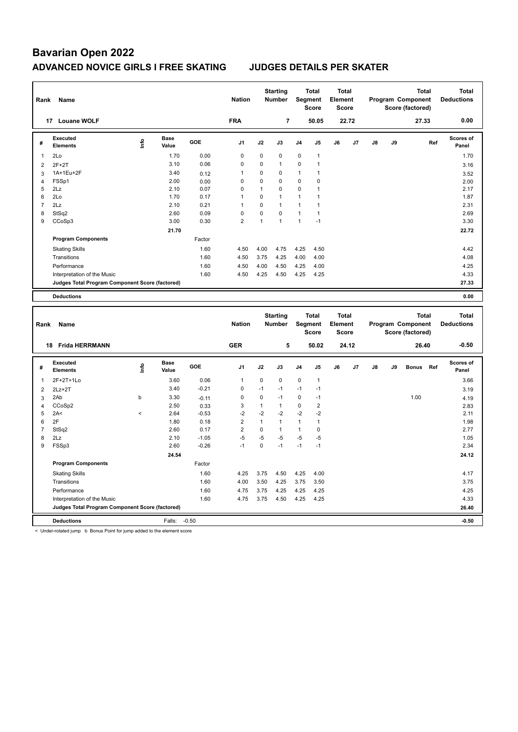| Rank                | Name                                            |                          |                      |                 | <b>Nation</b>     |                      | <b>Starting</b><br><b>Number</b> |              | <b>Total</b><br>Segment<br><b>Score</b> | <b>Total</b><br>Element<br><b>Score</b> |       |               |    | <b>Total</b><br>Program Component<br>Score (factored) |     | <b>Total</b><br><b>Deductions</b> |
|---------------------|-------------------------------------------------|--------------------------|----------------------|-----------------|-------------------|----------------------|----------------------------------|--------------|-----------------------------------------|-----------------------------------------|-------|---------------|----|-------------------------------------------------------|-----|-----------------------------------|
|                     | 17 Louane WOLF                                  |                          |                      |                 | <b>FRA</b>        |                      | $\overline{7}$                   |              | 50.05                                   |                                         | 22.72 |               |    | 27.33                                                 |     | 0.00                              |
| #                   | <b>Executed</b><br><b>Elements</b>              | lnfo                     | <b>Base</b><br>Value | GOE             | J <sub>1</sub>    | J2                   | J3                               | J4           | J5                                      | J6                                      | J7    | $\mathsf{J}8$ | J9 |                                                       | Ref | <b>Scores of</b><br>Panel         |
| $\mathbf{1}$        | 2Lo                                             |                          | 1.70                 | 0.00            | 0                 | 0                    | 0                                | 0            | $\mathbf{1}$                            |                                         |       |               |    |                                                       |     | 1.70                              |
| $\overline{2}$      | $2F+2T$                                         |                          | 3.10                 | 0.06            | 0                 | 0                    | $\mathbf{1}$                     | 0            | $\mathbf{1}$                            |                                         |       |               |    |                                                       |     | 3.16                              |
| 3                   | 1A+1Eu+2F                                       |                          | 3.40                 | 0.12            | 1                 | 0                    | 0                                | 1            | 1                                       |                                         |       |               |    |                                                       |     | 3.52                              |
| $\overline{4}$      | FSSp1                                           |                          | 2.00                 | 0.00            | 0                 | 0                    | $\mathbf 0$                      | 0            | 0                                       |                                         |       |               |    |                                                       |     | 2.00                              |
| 5                   | 2Lz                                             |                          | 2.10                 | 0.07            | 0                 | 1                    | $\mathbf 0$                      | 0            | $\mathbf{1}$                            |                                         |       |               |    |                                                       |     | 2.17                              |
| 6                   | 2Lo                                             |                          | 1.70                 | 0.17            | 1                 | $\mathbf 0$          | $\mathbf{1}$                     | 1            | 1                                       |                                         |       |               |    |                                                       |     | 1.87                              |
| $\overline{7}$      | 2Lz                                             |                          | 2.10                 | 0.21            | 1                 | 0                    | $\mathbf{1}$                     | 1            | $\mathbf{1}$                            |                                         |       |               |    |                                                       |     | 2.31                              |
| 8                   | StSq2                                           |                          | 2.60                 | 0.09            | 0                 | 0                    | $\mathbf 0$                      | $\mathbf{1}$ | $\mathbf{1}$                            |                                         |       |               |    |                                                       |     | 2.69                              |
| 9                   | CCoSp3                                          |                          | 3.00                 | 0.30            | $\overline{2}$    | $\overline{1}$       | $\mathbf{1}$                     | $\mathbf{1}$ | $-1$                                    |                                         |       |               |    |                                                       |     | 3.30                              |
|                     |                                                 |                          | 21.70                |                 |                   |                      |                                  |              |                                         |                                         |       |               |    |                                                       |     | 22.72                             |
|                     | <b>Program Components</b>                       |                          |                      | Factor          |                   |                      |                                  |              |                                         |                                         |       |               |    |                                                       |     |                                   |
|                     | <b>Skating Skills</b>                           |                          |                      | 1.60            | 4.50              | 4.00                 | 4.75                             | 4.25         | 4.50                                    |                                         |       |               |    |                                                       |     | 4.42                              |
|                     | Transitions                                     |                          |                      | 1.60            | 4.50              | 3.75                 | 4.25                             | 4.00         | 4.00                                    |                                         |       |               |    |                                                       |     | 4.08                              |
|                     | Performance                                     |                          |                      | 1.60            | 4.50              | 4.00                 | 4.50                             | 4.25         | 4.00                                    |                                         |       |               |    |                                                       |     | 4.25                              |
|                     | Interpretation of the Music                     |                          |                      | 1.60            | 4.50              | 4.25                 | 4.50                             | 4.25         | 4.25                                    |                                         |       |               |    |                                                       |     | 4.33                              |
|                     | Judges Total Program Component Score (factored) |                          |                      |                 |                   |                      |                                  |              |                                         |                                         |       |               |    |                                                       |     | 27.33                             |
|                     |                                                 |                          |                      |                 |                   |                      |                                  |              |                                         |                                         |       |               |    |                                                       |     |                                   |
|                     | <b>Deductions</b>                               |                          |                      |                 |                   |                      |                                  |              |                                         |                                         |       |               |    |                                                       |     | 0.00                              |
|                     |                                                 |                          |                      |                 |                   |                      |                                  |              |                                         |                                         |       |               |    |                                                       |     |                                   |
| Rank                | Name                                            |                          |                      |                 | <b>Nation</b>     |                      | <b>Starting</b><br>Number        |              | <b>Total</b><br><b>Segment</b><br>Score | <b>Total</b><br>Element<br>Score        |       |               |    | <b>Total</b><br>Program Component<br>Score (factored) |     | <b>Total</b><br><b>Deductions</b> |
|                     | 18 Frida HERRMANN                               |                          |                      |                 | <b>GER</b>        |                      | 5                                |              | 50.02                                   |                                         | 24.12 |               |    | 26.40                                                 |     | $-0.50$                           |
| #                   | <b>Executed</b><br><b>Elements</b>              | lnfo                     | <b>Base</b><br>Value | GOE             | J <sub>1</sub>    | J2                   | J3                               | J4           | J5                                      | J6                                      | J7    | J8            | J9 | <b>Bonus</b>                                          | Ref | Scores of<br>Panel                |
|                     |                                                 |                          |                      |                 |                   |                      |                                  |              |                                         |                                         |       |               |    |                                                       |     |                                   |
| $\mathbf{1}$        | 2F+2T+1Lo                                       |                          | 3.60                 | 0.06            | $\mathbf{1}$<br>0 | 0<br>$-1$            | 0<br>$-1$                        | 0<br>$-1$    | $\mathbf{1}$<br>$-1$                    |                                         |       |               |    |                                                       |     | 3.66                              |
| $\overline{2}$      | $2Lz+2T$                                        |                          | 3.40                 | $-0.21$         |                   |                      |                                  |              |                                         |                                         |       |               |    |                                                       |     | 3.19                              |
| $\mathbf{3}$        | 2Ab                                             | b                        | 3.30                 | $-0.11$         | 0                 | $\mathbf 0$          | $-1$                             | 0<br>0       | $-1$                                    |                                         |       |               |    | 1.00                                                  |     | 4.19                              |
| $\overline{4}$<br>5 | CCoSp2<br>2A<                                   | $\overline{\phantom{a}}$ | 2.50<br>2.64         | 0.33<br>$-0.53$ | 3<br>$-2$         | $\mathbf{1}$<br>$-2$ | $\mathbf{1}$<br>$-2$             | $-2$         | $\overline{2}$<br>$-2$                  |                                         |       |               |    |                                                       |     | 2.83<br>2.11                      |
| 6                   | 2F                                              |                          | 1.80                 | 0.18            | $\overline{2}$    | $\mathbf{1}$         | $\mathbf{1}$                     | 1            | $\mathbf{1}$                            |                                         |       |               |    |                                                       |     | 1.98                              |
| $\overline{7}$      | StSq2                                           |                          | 2.60                 | 0.17            | $\overline{2}$    | $\mathbf 0$          | $\mathbf{1}$                     | 1            | $\mathbf 0$                             |                                         |       |               |    |                                                       |     | 2.77                              |
| 8                   | 2Lz                                             |                          | 2.10                 | $-1.05$         | $-5$              | $-5$                 | $-5$                             | $-5$         | $-5$                                    |                                         |       |               |    |                                                       |     | 1.05                              |
| 9                   | FSSp3                                           |                          | 2.60                 | $-0.26$         | $-1$              | 0                    | $-1$                             | $-1$         | $-1$                                    |                                         |       |               |    |                                                       |     | 2.34                              |
|                     |                                                 |                          | 24.54                |                 |                   |                      |                                  |              |                                         |                                         |       |               |    |                                                       |     | 24.12                             |
|                     | <b>Program Components</b>                       |                          |                      | Factor          |                   |                      |                                  |              |                                         |                                         |       |               |    |                                                       |     |                                   |
|                     |                                                 |                          |                      |                 |                   |                      |                                  |              |                                         |                                         |       |               |    |                                                       |     |                                   |
|                     | <b>Skating Skills</b>                           |                          |                      | 1.60            | 4.25              | 3.75                 | 4.50                             | 4.25         | 4.00                                    |                                         |       |               |    |                                                       |     | 4.17                              |
|                     | Transitions                                     |                          |                      | 1.60            | 4.00              | 3.50                 | 4.25                             | 3.75         | 3.50                                    |                                         |       |               |    |                                                       |     | 3.75                              |
|                     | Performance                                     |                          |                      | 1.60            | 4.75              | 3.75                 | 4.25                             | 4.25         | 4.25                                    |                                         |       |               |    |                                                       |     | 4.25                              |
|                     | Interpretation of the Music                     |                          |                      | 1.60            | 4.75              | 3.75                 | 4.50                             | 4.25         | 4.25                                    |                                         |       |               |    |                                                       |     | 4.33                              |
|                     | Judges Total Program Component Score (factored) |                          |                      |                 |                   |                      |                                  |              |                                         |                                         |       |               |    |                                                       |     | 26.40                             |

< Under-rotated jump b Bonus Point for jump added to the element score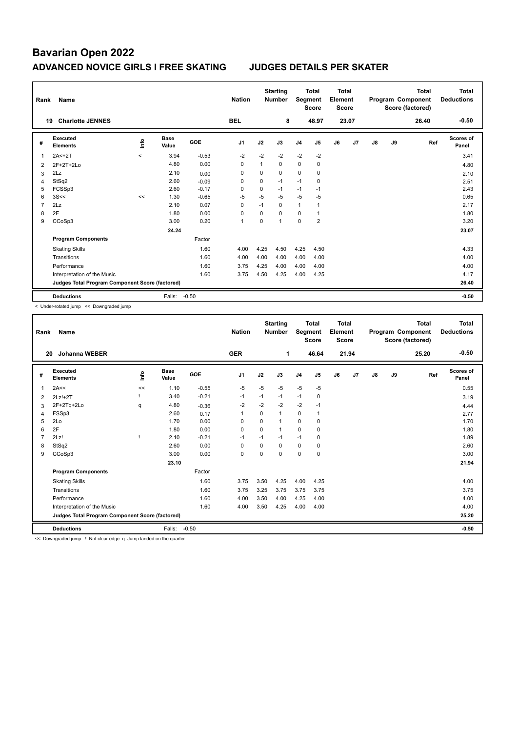| Rank           | Name                                            |         |                      |         | <b>Nation</b>  |             | <b>Starting</b><br><b>Number</b> |                | <b>Total</b><br>Segment<br><b>Score</b> | <b>Total</b><br>Element<br><b>Score</b> |                |               |    | <b>Total</b><br>Program Component<br>Score (factored) | <b>Total</b><br><b>Deductions</b> |
|----------------|-------------------------------------------------|---------|----------------------|---------|----------------|-------------|----------------------------------|----------------|-----------------------------------------|-----------------------------------------|----------------|---------------|----|-------------------------------------------------------|-----------------------------------|
| 19             | <b>Charlotte JENNES</b>                         |         |                      |         | <b>BEL</b>     |             | 8                                |                | 48.97                                   |                                         | 23.07          |               |    | 26.40                                                 | $-0.50$                           |
| #              | Executed<br><b>Elements</b>                     | Info    | <b>Base</b><br>Value | GOE     | J <sub>1</sub> | J2          | J3                               | J <sub>4</sub> | J5                                      | J6                                      | J <sub>7</sub> | $\mathsf{J}8$ | J9 | Ref                                                   | Scores of<br>Panel                |
| 1              | $2A < +2T$                                      | $\prec$ | 3.94                 | $-0.53$ | $-2$           | $-2$        | $-2$                             | $-2$           | $-2$                                    |                                         |                |               |    |                                                       | 3.41                              |
| 2              | 2F+2T+2Lo                                       |         | 4.80                 | 0.00    | 0              | 1           | 0                                | $\mathbf 0$    | 0                                       |                                         |                |               |    |                                                       | 4.80                              |
| 3              | 2Lz                                             |         | 2.10                 | 0.00    | 0              | $\Omega$    | $\Omega$                         | $\mathbf 0$    | 0                                       |                                         |                |               |    |                                                       | 2.10                              |
| 4              | StSq2                                           |         | 2.60                 | $-0.09$ | 0              | $\mathbf 0$ | $-1$                             | $-1$           | 0                                       |                                         |                |               |    |                                                       | 2.51                              |
| 5              | FCSSp3                                          |         | 2.60                 | $-0.17$ | $\Omega$       | $\Omega$    | $-1$                             | $-1$           | $-1$                                    |                                         |                |               |    |                                                       | 2.43                              |
| 6              | 3S<<                                            | <<      | 1.30                 | $-0.65$ | $-5$           | $-5$        | $-5$                             | $-5$           | $-5$                                    |                                         |                |               |    |                                                       | 0.65                              |
| $\overline{7}$ | 2Lz                                             |         | 2.10                 | 0.07    | 0              | $-1$        | 0                                | $\mathbf{1}$   | 1                                       |                                         |                |               |    |                                                       | 2.17                              |
| 8              | 2F                                              |         | 1.80                 | 0.00    | $\Omega$       | $\Omega$    | $\Omega$                         | $\Omega$       | 1                                       |                                         |                |               |    |                                                       | 1.80                              |
| 9              | CCoSp3                                          |         | 3.00                 | 0.20    | $\overline{1}$ | 0           | $\overline{1}$                   | $\Omega$       | $\overline{2}$                          |                                         |                |               |    |                                                       | 3.20                              |
|                |                                                 |         | 24.24                |         |                |             |                                  |                |                                         |                                         |                |               |    |                                                       | 23.07                             |
|                | <b>Program Components</b>                       |         |                      | Factor  |                |             |                                  |                |                                         |                                         |                |               |    |                                                       |                                   |
|                | <b>Skating Skills</b>                           |         |                      | 1.60    | 4.00           | 4.25        | 4.50                             | 4.25           | 4.50                                    |                                         |                |               |    |                                                       | 4.33                              |
|                | Transitions                                     |         |                      | 1.60    | 4.00           | 4.00        | 4.00                             | 4.00           | 4.00                                    |                                         |                |               |    |                                                       | 4.00                              |
|                | Performance                                     |         |                      | 1.60    | 3.75           | 4.25        | 4.00                             | 4.00           | 4.00                                    |                                         |                |               |    |                                                       | 4.00                              |
|                | Interpretation of the Music                     |         |                      | 1.60    | 3.75           | 4.50        | 4.25                             | 4.00           | 4.25                                    |                                         |                |               |    |                                                       | 4.17                              |
|                | Judges Total Program Component Score (factored) |         |                      |         |                |             |                                  |                |                                         |                                         |                |               |    |                                                       | 26.40                             |
|                | <b>Deductions</b>                               |         | Falls:               | $-0.50$ |                |             |                                  |                |                                         |                                         |                |               |    |                                                       | $-0.50$                           |

< Under-rotated jump << Downgraded jump

| Rank           | <b>Name</b>                                     |      |                      |         | <b>Nation</b>  |             | <b>Starting</b><br><b>Number</b> | Segment        | <b>Total</b><br><b>Score</b> | <b>Total</b><br>Element<br><b>Score</b> |       |               |    | <b>Total</b><br>Program Component<br>Score (factored) | <b>Total</b><br><b>Deductions</b> |
|----------------|-------------------------------------------------|------|----------------------|---------|----------------|-------------|----------------------------------|----------------|------------------------------|-----------------------------------------|-------|---------------|----|-------------------------------------------------------|-----------------------------------|
| 20             | <b>Johanna WEBER</b>                            |      |                      |         | <b>GER</b>     |             | 1                                |                | 46.64                        |                                         | 21.94 |               |    | 25.20                                                 | $-0.50$                           |
| #              | Executed<br><b>Elements</b>                     | lnfo | <b>Base</b><br>Value | GOE     | J <sub>1</sub> | J2          | J3                               | J <sub>4</sub> | J5                           | J6                                      | J7    | $\mathsf{J}8$ | J9 | Ref                                                   | Scores of<br>Panel                |
| 1              | 2A<<                                            | <<   | 1.10                 | $-0.55$ | -5             | $-5$        | $-5$                             | $-5$           | $-5$                         |                                         |       |               |    |                                                       | 0.55                              |
| 2              | $2Lz!+2T$                                       |      | 3.40                 | $-0.21$ | $-1$           | $-1$        | $-1$                             | $-1$           | 0                            |                                         |       |               |    |                                                       | 3.19                              |
| 3              | 2F+2Tq+2Lo                                      | q    | 4.80                 | $-0.36$ | $-2$           | $-2$        | $-2$                             | $-2$           | $-1$                         |                                         |       |               |    |                                                       | 4.44                              |
| 4              | FSSp3                                           |      | 2.60                 | 0.17    | -1             | 0           | 1                                | 0              |                              |                                         |       |               |    |                                                       | 2.77                              |
| 5              | 2Lo                                             |      | 1.70                 | 0.00    | 0              | $\mathbf 0$ | 1                                | $\mathbf 0$    | $\mathbf 0$                  |                                         |       |               |    |                                                       | 1.70                              |
| 6              | 2F                                              |      | 1.80                 | 0.00    | $\Omega$       | $\Omega$    | $\mathbf{1}$                     | $\Omega$       | 0                            |                                         |       |               |    |                                                       | 1.80                              |
| $\overline{7}$ | 2Lz!                                            |      | 2.10                 | $-0.21$ | $-1$           | $-1$        | $-1$                             | $-1$           | 0                            |                                         |       |               |    |                                                       | 1.89                              |
| 8              | StSq2                                           |      | 2.60                 | 0.00    | 0              | $\Omega$    | $\Omega$                         | 0              | 0                            |                                         |       |               |    |                                                       | 2.60                              |
| 9              | CCoSp3                                          |      | 3.00                 | 0.00    | 0              | 0           | $\Omega$                         | $\mathbf 0$    | $\mathbf 0$                  |                                         |       |               |    |                                                       | 3.00                              |
|                |                                                 |      | 23.10                |         |                |             |                                  |                |                              |                                         |       |               |    |                                                       | 21.94                             |
|                | <b>Program Components</b>                       |      |                      | Factor  |                |             |                                  |                |                              |                                         |       |               |    |                                                       |                                   |
|                | <b>Skating Skills</b>                           |      |                      | 1.60    | 3.75           | 3.50        | 4.25                             | 4.00           | 4.25                         |                                         |       |               |    |                                                       | 4.00                              |
|                | Transitions                                     |      |                      | 1.60    | 3.75           | 3.25        | 3.75                             | 3.75           | 3.75                         |                                         |       |               |    |                                                       | 3.75                              |
|                | Performance                                     |      |                      | 1.60    | 4.00           | 3.50        | 4.00                             | 4.25           | 4.00                         |                                         |       |               |    |                                                       | 4.00                              |
|                | Interpretation of the Music                     |      |                      | 1.60    | 4.00           | 3.50        | 4.25                             | 4.00           | 4.00                         |                                         |       |               |    |                                                       | 4.00                              |
|                | Judges Total Program Component Score (factored) |      |                      |         |                |             |                                  |                |                              |                                         |       |               |    |                                                       | 25.20                             |
|                | <b>Deductions</b>                               |      | Falls:               | $-0.50$ |                |             |                                  |                |                              |                                         |       |               |    |                                                       | $-0.50$                           |

<< Downgraded jump ! Not clear edge q Jump landed on the quarter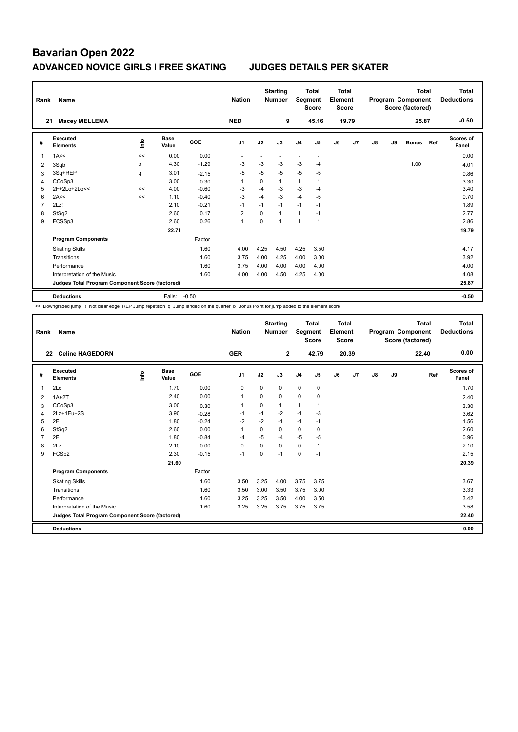| Rank           | Name                                            |    | <b>Nation</b>        |            | <b>Starting</b><br><b>Number</b> | Segment  | <b>Total</b><br><b>Score</b> | Total<br>Element<br><b>Score</b> |                          |    |       | <b>Total</b><br>Program Component<br>Score (factored) |    | Total<br><b>Deductions</b> |     |                           |
|----------------|-------------------------------------------------|----|----------------------|------------|----------------------------------|----------|------------------------------|----------------------------------|--------------------------|----|-------|-------------------------------------------------------|----|----------------------------|-----|---------------------------|
| 21             | <b>Macey MELLEMA</b>                            |    |                      |            | <b>NED</b>                       |          | 9                            |                                  | 45.16                    |    | 19.79 |                                                       |    | 25.87                      |     | $-0.50$                   |
| #              | Executed<br><b>Elements</b>                     | ۴ů | <b>Base</b><br>Value | <b>GOE</b> | J <sub>1</sub>                   | J2       | J3                           | J <sub>4</sub>                   | J5                       | J6 | J7    | J8                                                    | J9 | <b>Bonus</b>               | Ref | <b>Scores of</b><br>Panel |
| 1              | 1A<<                                            | << | 0.00                 | 0.00       |                                  |          |                              | ٠                                | $\overline{\phantom{a}}$ |    |       |                                                       |    |                            |     | 0.00                      |
| $\overline{2}$ | 3Sqb                                            | b  | 4.30                 | $-1.29$    | $-3$                             | -3       | -3                           | $-3$                             | $-4$                     |    |       |                                                       |    | 1.00                       |     | 4.01                      |
| 3              | 3Sq+REP                                         | q  | 3.01                 | $-2.15$    | $-5$                             | $-5$     | $-5$                         | $-5$                             | -5                       |    |       |                                                       |    |                            |     | 0.86                      |
| 4              | CCoSp3                                          |    | 3.00                 | 0.30       | 1                                | $\Omega$ | $\mathbf{1}$                 | 1                                |                          |    |       |                                                       |    |                            |     | 3.30                      |
| 5              | 2F+2Lo+2Lo<<                                    | << | 4.00                 | $-0.60$    | $-3$                             | $-4$     | $-3$                         | $-3$                             | $-4$                     |    |       |                                                       |    |                            |     | 3.40                      |
| 6              | 2A<<                                            | << | 1.10                 | $-0.40$    | $-3$                             | $-4$     | $-3$                         | $-4$                             | $-5$                     |    |       |                                                       |    |                            |     | 0.70                      |
| 7              | 2Lz!                                            |    | 2.10                 | $-0.21$    | $-1$                             | $-1$     | $-1$                         | $-1$                             | $-1$                     |    |       |                                                       |    |                            |     | 1.89                      |
| 8              | StSq2                                           |    | 2.60                 | 0.17       | $\overline{2}$                   | $\Omega$ | 1                            | 1                                | $-1$                     |    |       |                                                       |    |                            |     | 2.77                      |
| 9              | FCSSp3                                          |    | 2.60                 | 0.26       | $\overline{1}$                   | 0        | $\overline{ }$               | 1                                | $\mathbf{1}$             |    |       |                                                       |    |                            |     | 2.86                      |
|                |                                                 |    | 22.71                |            |                                  |          |                              |                                  |                          |    |       |                                                       |    |                            |     | 19.79                     |
|                | <b>Program Components</b>                       |    |                      | Factor     |                                  |          |                              |                                  |                          |    |       |                                                       |    |                            |     |                           |
|                | <b>Skating Skills</b>                           |    |                      | 1.60       | 4.00                             | 4.25     | 4.50                         | 4.25                             | 3.50                     |    |       |                                                       |    |                            |     | 4.17                      |
|                | Transitions                                     |    |                      | 1.60       | 3.75                             | 4.00     | 4.25                         | 4.00                             | 3.00                     |    |       |                                                       |    |                            |     | 3.92                      |
|                | Performance                                     |    |                      | 1.60       | 3.75                             | 4.00     | 4.00                         | 4.00                             | 4.00                     |    |       |                                                       |    |                            |     | 4.00                      |
|                | Interpretation of the Music                     |    |                      | 1.60       | 4.00                             | 4.00     | 4.50                         | 4.25                             | 4.00                     |    |       |                                                       |    |                            |     | 4.08                      |
|                | Judges Total Program Component Score (factored) |    |                      |            |                                  |          |                              |                                  |                          |    |       |                                                       |    |                            |     | 25.87                     |
|                | <b>Deductions</b>                               |    | Falls:               | $-0.50$    |                                  |          |                              |                                  |                          |    |       |                                                       |    |                            |     | $-0.50$                   |

<< Downgraded jump ! Not clear edge REP Jump repetition q Jump landed on the quarter b Bonus Point for jump added to the element score

| Rank           | Name                                            |      |                      |            | <b>Nation</b>  |             | <b>Starting</b><br><b>Number</b> | Segment        | <b>Total</b><br><b>Score</b> | <b>Total</b><br>Element<br><b>Score</b> |       |    |    | <b>Total</b><br>Program Component<br>Score (factored) | <b>Total</b><br><b>Deductions</b> |
|----------------|-------------------------------------------------|------|----------------------|------------|----------------|-------------|----------------------------------|----------------|------------------------------|-----------------------------------------|-------|----|----|-------------------------------------------------------|-----------------------------------|
| 22             | <b>Celine HAGEDORN</b>                          |      |                      |            | <b>GER</b>     |             | $\mathbf{2}$                     |                | 42.79                        |                                         | 20.39 |    |    | 22.40                                                 | 0.00                              |
| #              | Executed<br><b>Elements</b>                     | ١nf٥ | <b>Base</b><br>Value | <b>GOE</b> | J <sub>1</sub> | J2          | J3                               | J <sub>4</sub> | J5                           | J6                                      | J7    | J8 | J9 | Ref                                                   | <b>Scores of</b><br>Panel         |
| 1              | 2Lo                                             |      | 1.70                 | 0.00       | $\mathbf 0$    | $\mathbf 0$ | 0                                | $\mathbf 0$    | $\mathbf 0$                  |                                         |       |    |    |                                                       | 1.70                              |
| 2              | $1A+2T$                                         |      | 2.40                 | 0.00       | 1              | $\Omega$    | 0                                | $\mathbf 0$    | 0                            |                                         |       |    |    |                                                       | 2.40                              |
| 3              | CCoSp3                                          |      | 3.00                 | 0.30       | $\mathbf{1}$   | $\Omega$    | $\mathbf{1}$                     | $\mathbf{1}$   | $\mathbf 1$                  |                                         |       |    |    |                                                       | 3.30                              |
| 4              | 2Lz+1Eu+2S                                      |      | 3.90                 | $-0.28$    | $-1$           | $-1$        | $-2$                             | $-1$           | -3                           |                                         |       |    |    |                                                       | 3.62                              |
| 5              | 2F                                              |      | 1.80                 | $-0.24$    | $-2$           | $-2$        | $-1$                             | $-1$           | $-1$                         |                                         |       |    |    |                                                       | 1.56                              |
| 6              | StSq2                                           |      | 2.60                 | 0.00       | 1              | 0           | 0                                | 0              | 0                            |                                         |       |    |    |                                                       | 2.60                              |
| $\overline{7}$ | 2F                                              |      | 1.80                 | $-0.84$    | -4             | $-5$        | $-4$                             | $-5$           | $-5$                         |                                         |       |    |    |                                                       | 0.96                              |
| 8              | 2Lz                                             |      | 2.10                 | 0.00       | $\mathbf 0$    | $\Omega$    | 0                                | $\mathbf 0$    | 1                            |                                         |       |    |    |                                                       | 2.10                              |
| 9              | FCSp2                                           |      | 2.30                 | $-0.15$    | $-1$           | $\Omega$    | $-1$                             | $\mathbf 0$    | $-1$                         |                                         |       |    |    |                                                       | 2.15                              |
|                |                                                 |      | 21.60                |            |                |             |                                  |                |                              |                                         |       |    |    |                                                       | 20.39                             |
|                | <b>Program Components</b>                       |      |                      | Factor     |                |             |                                  |                |                              |                                         |       |    |    |                                                       |                                   |
|                | <b>Skating Skills</b>                           |      |                      | 1.60       | 3.50           | 3.25        | 4.00                             | 3.75           | 3.75                         |                                         |       |    |    |                                                       | 3.67                              |
|                | Transitions                                     |      |                      | 1.60       | 3.50           | 3.00        | 3.50                             | 3.75           | 3.00                         |                                         |       |    |    |                                                       | 3.33                              |
|                | Performance                                     |      |                      | 1.60       | 3.25           | 3.25        | 3.50                             | 4.00           | 3.50                         |                                         |       |    |    |                                                       | 3.42                              |
|                | Interpretation of the Music                     |      |                      | 1.60       | 3.25           | 3.25        | 3.75                             | 3.75           | 3.75                         |                                         |       |    |    |                                                       | 3.58                              |
|                | Judges Total Program Component Score (factored) |      |                      |            |                |             |                                  |                |                              |                                         |       |    |    |                                                       | 22.40                             |
|                | <b>Deductions</b>                               |      |                      |            |                |             |                                  |                |                              |                                         |       |    |    |                                                       | 0.00                              |